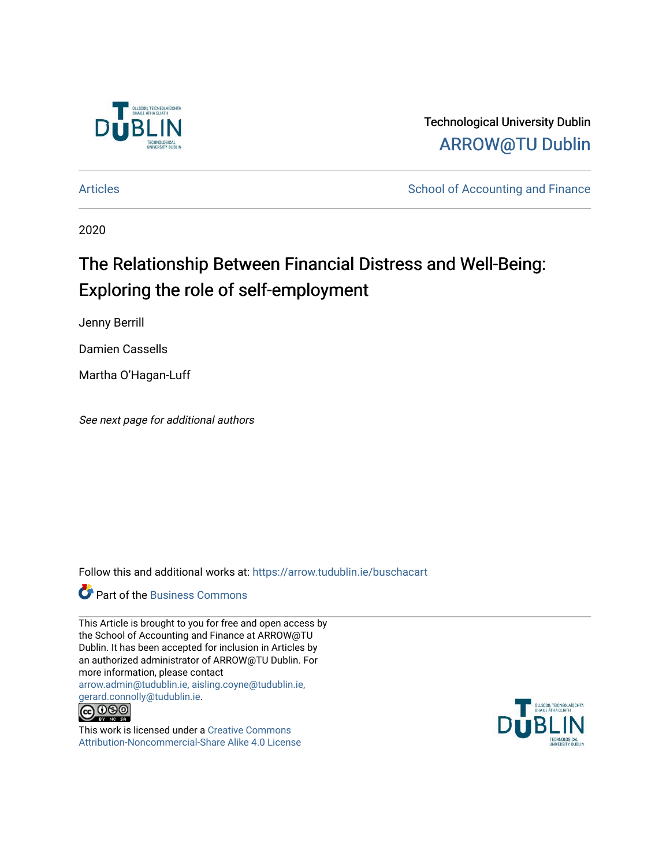

Technological University Dublin [ARROW@TU Dublin](https://arrow.tudublin.ie/) 

[Articles](https://arrow.tudublin.ie/buschacart) **School of Accounting and Finance** 

2020

# The Relationship Between Financial Distress and Well-Being: Exploring the role of self-employment

Jenny Berrill

Damien Cassells

Martha O'Hagan-Luff

See next page for additional authors

Follow this and additional works at: [https://arrow.tudublin.ie/buschacart](https://arrow.tudublin.ie/buschacart?utm_source=arrow.tudublin.ie%2Fbuschacart%2F57&utm_medium=PDF&utm_campaign=PDFCoverPages)

**Part of the [Business Commons](http://network.bepress.com/hgg/discipline/622?utm_source=arrow.tudublin.ie%2Fbuschacart%2F57&utm_medium=PDF&utm_campaign=PDFCoverPages)** 

This Article is brought to you for free and open access by the School of Accounting and Finance at ARROW@TU Dublin. It has been accepted for inclusion in Articles by an authorized administrator of ARROW@TU Dublin. For more information, please contact [arrow.admin@tudublin.ie, aisling.coyne@tudublin.ie,](mailto:arrow.admin@tudublin.ie,%20aisling.coyne@tudublin.ie,%20gerard.connolly@tudublin.ie)  [gerard.connolly@tudublin.ie](mailto:arrow.admin@tudublin.ie,%20aisling.coyne@tudublin.ie,%20gerard.connolly@tudublin.ie).  $\bigodot$   $\bigodot$   $\bigodot$ 



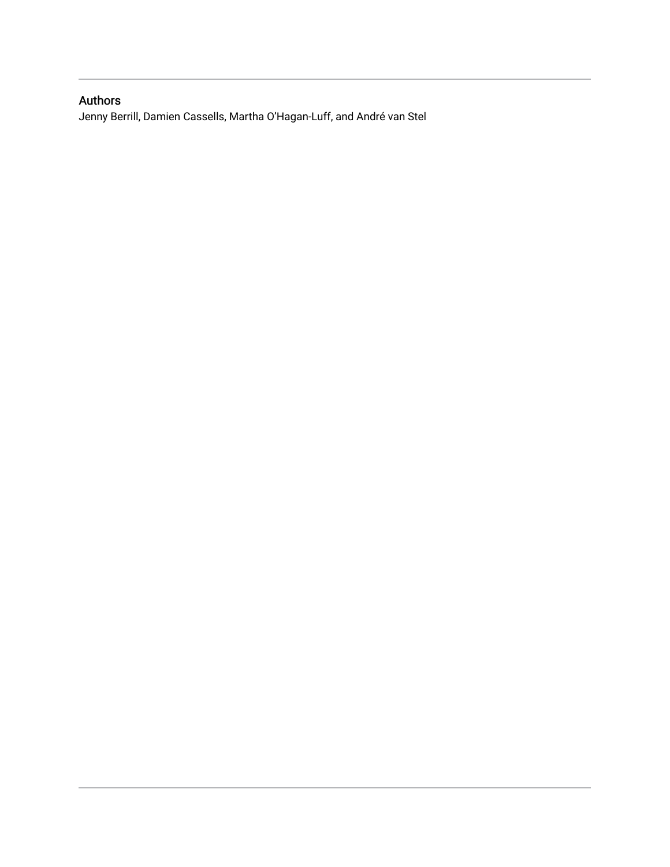# Authors

Jenny Berrill, Damien Cassells, Martha O'Hagan-Luff, and André van Stel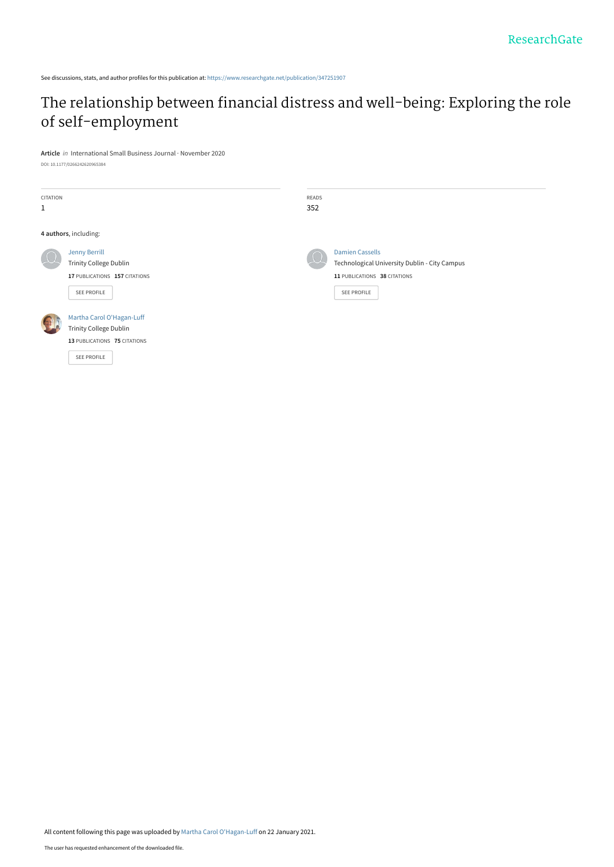See discussions, stats, and author profiles for this publication at: [https://www.researchgate.net/publication/347251907](https://www.researchgate.net/publication/347251907_The_relationship_between_financial_distress_and_well-being_Exploring_the_role_of_self-employment?enrichId=rgreq-ce0ae150b14d82586c36f141ba0371ab-XXX&enrichSource=Y292ZXJQYWdlOzM0NzI1MTkwNztBUzo5ODI3MjgzMDg3MTE0MjRAMTYxMTMxMjA5NTY5Ng%3D%3D&el=1_x_2&_esc=publicationCoverPdf)

# [The relationship between financial distress and well-being: Exploring the role](https://www.researchgate.net/publication/347251907_The_relationship_between_financial_distress_and_well-being_Exploring_the_role_of_self-employment?enrichId=rgreq-ce0ae150b14d82586c36f141ba0371ab-XXX&enrichSource=Y292ZXJQYWdlOzM0NzI1MTkwNztBUzo5ODI3MjgzMDg3MTE0MjRAMTYxMTMxMjA5NTY5Ng%3D%3D&el=1_x_3&_esc=publicationCoverPdf) of self-employment

**Article** in International Small Business Journal · November 2020 DOI: 10.1177/0266242620965384

| CITATION     |                               | READS |                                               |
|--------------|-------------------------------|-------|-----------------------------------------------|
| $\mathbf{1}$ |                               | 352   |                                               |
|              |                               |       |                                               |
|              | 4 authors, including:         |       |                                               |
|              | Jenny Berrill                 |       | <b>Damien Cassells</b>                        |
|              | <b>Trinity College Dublin</b> |       | Technological University Dublin - City Campus |
|              | 17 PUBLICATIONS 157 CITATIONS |       | 11 PUBLICATIONS 38 CITATIONS                  |
|              | SEE PROFILE                   |       | SEE PROFILE                                   |
|              |                               |       |                                               |
|              | Martha Carol O'Hagan-Luff     |       |                                               |
|              | <b>Trinity College Dublin</b> |       |                                               |
|              | 13 PUBLICATIONS 75 CITATIONS  |       |                                               |
|              | <b>SEE PROFILE</b>            |       |                                               |
|              |                               |       |                                               |

All content following this page was uploaded by [Martha Carol O'Hagan-Luff](https://www.researchgate.net/profile/Martha-Ohagan-Luff?enrichId=rgreq-ce0ae150b14d82586c36f141ba0371ab-XXX&enrichSource=Y292ZXJQYWdlOzM0NzI1MTkwNztBUzo5ODI3MjgzMDg3MTE0MjRAMTYxMTMxMjA5NTY5Ng%3D%3D&el=1_x_10&_esc=publicationCoverPdf) on 22 January 2021.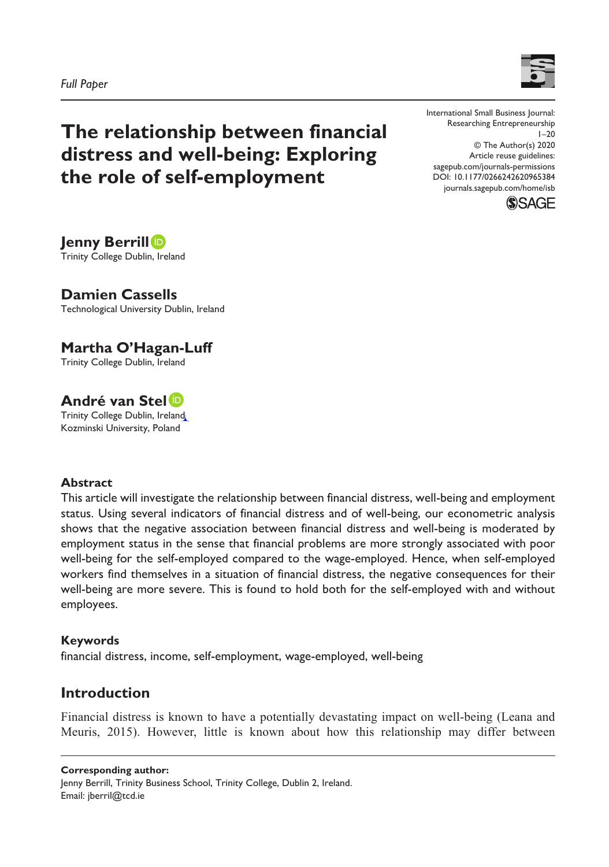



**The relationship between financial distress and well-being: Exploring the role of self-employment**

DOI: 10.1177/0266242620965384 International Small Business Journal: Researching Entrepreneurship  $1 - 20$ © The Author(s) 2020 Article reuse guidelines: [sagepub.com/journals-permissions](https://uk.sagepub.com/en-gb/journals-permissions) [journals.sagepub.com/home/isb](https://journals.sagepub.com/home/isb)



**Jenny Berrill** Trinity College Dublin, Ireland

**Damien Cassells** Technological University Dublin, Ireland

**Martha O'Hagan-Luff** Trinity College Dublin, Ireland

**André van Stel** Trinity College Dublin, Ireland Kozminski University, Poland

#### **Abstract**

This article will investigate the relationship between financial distress, well-being and employment status. Using several indicators of financial distress and of well-being, our econometric analysis shows that the negative association between financial distress and well-being is moderated by employment status in the sense that financial problems are more strongly associated with poor well-being for the self-employed compared to the wage-employed. Hence, when self-employed workers find themselves in a situation of financial distress, the negative consequences for their well-being are more severe. This is found to hold both for the self-employed with and without employees.

#### **Keywords**

financial distress, income, self-employment, wage-employed, well-being

# **Introduction**

Financial distress is known to have a potentially devastating impact on well-being (Leana and Meuris, 2015). However, little is known about how this relationship may differ between

#### **Corresponding author:**

Jenny Berrill, Trinity Business School, Trinity College, Dublin 2, Ireland. Email: [jberril@tcd.ie](mailto:jberril@tcd.ie)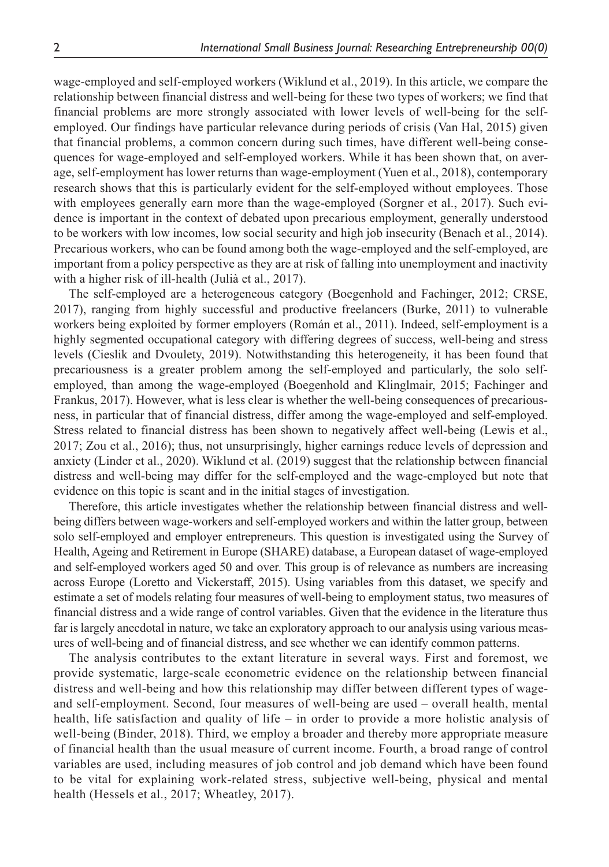wage-employed and self-employed workers (Wiklund et al., 2019). In this article, we compare the relationship between financial distress and well-being for these two types of workers; we find that financial problems are more strongly associated with lower levels of well-being for the selfemployed. Our findings have particular relevance during periods of crisis (Van Hal, 2015) given that financial problems, a common concern during such times, have different well-being consequences for wage-employed and self-employed workers. While it has been shown that, on average, self-employment has lower returns than wage-employment (Yuen et al., 2018), contemporary research shows that this is particularly evident for the self-employed without employees. Those with employees generally earn more than the wage-employed (Sorgner et al., 2017). Such evidence is important in the context of debated upon precarious employment, generally understood to be workers with low incomes, low social security and high job insecurity (Benach et al., 2014). Precarious workers, who can be found among both the wage-employed and the self-employed, are important from a policy perspective as they are at risk of falling into unemployment and inactivity with a higher risk of ill-health (Julià et al., 2017).

The self-employed are a heterogeneous category (Boegenhold and Fachinger, 2012; CRSE, 2017), ranging from highly successful and productive freelancers (Burke, 2011) to vulnerable workers being exploited by former employers (Román et al., 2011). Indeed, self-employment is a highly segmented occupational category with differing degrees of success, well-being and stress levels (Cieslik and Dvoulety, 2019). Notwithstanding this heterogeneity, it has been found that precariousness is a greater problem among the self-employed and particularly, the solo selfemployed, than among the wage-employed (Boegenhold and Klinglmair, 2015; Fachinger and Frankus, 2017). However, what is less clear is whether the well-being consequences of precariousness, in particular that of financial distress, differ among the wage-employed and self-employed. Stress related to financial distress has been shown to negatively affect well-being (Lewis et al., 2017; Zou et al., 2016); thus, not unsurprisingly, higher earnings reduce levels of depression and anxiety (Linder et al., 2020). Wiklund et al. (2019) suggest that the relationship between financial distress and well-being may differ for the self-employed and the wage-employed but note that evidence on this topic is scant and in the initial stages of investigation.

Therefore, this article investigates whether the relationship between financial distress and wellbeing differs between wage-workers and self-employed workers and within the latter group, between solo self-employed and employer entrepreneurs. This question is investigated using the Survey of Health, Ageing and Retirement in Europe (SHARE) database, a European dataset of wage-employed and self-employed workers aged 50 and over. This group is of relevance as numbers are increasing across Europe (Loretto and Vickerstaff, 2015). Using variables from this dataset, we specify and estimate a set of models relating four measures of well-being to employment status, two measures of financial distress and a wide range of control variables. Given that the evidence in the literature thus far is largely anecdotal in nature, we take an exploratory approach to our analysis using various measures of well-being and of financial distress, and see whether we can identify common patterns.

The analysis contributes to the extant literature in several ways. First and foremost, we provide systematic, large-scale econometric evidence on the relationship between financial distress and well-being and how this relationship may differ between different types of wageand self-employment. Second, four measures of well-being are used – overall health, mental health, life satisfaction and quality of life – in order to provide a more holistic analysis of well-being (Binder, 2018). Third, we employ a broader and thereby more appropriate measure of financial health than the usual measure of current income. Fourth, a broad range of control variables are used, including measures of job control and job demand which have been found to be vital for explaining work-related stress, subjective well-being, physical and mental health (Hessels et al., 2017; Wheatley, 2017).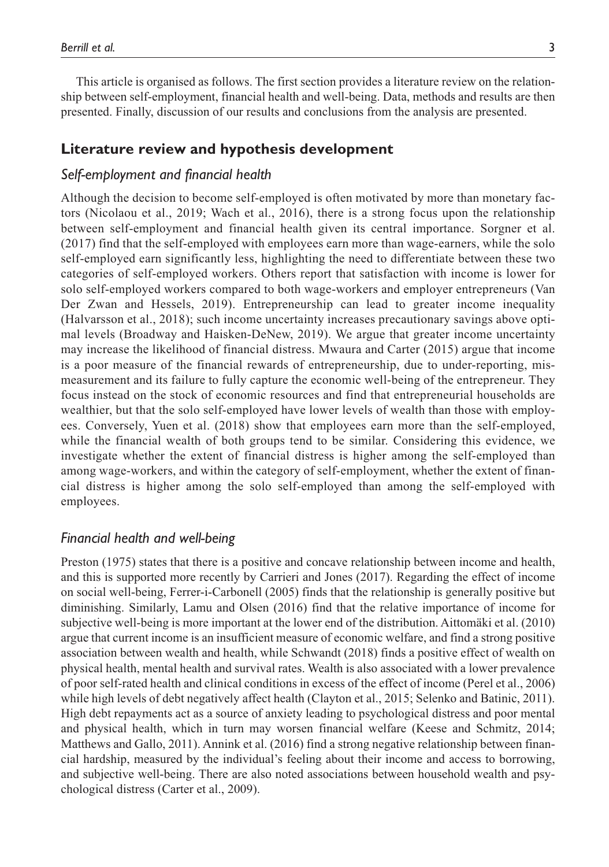This article is organised as follows. The first section provides a literature review on the relationship between self-employment, financial health and well-being. Data, methods and results are then presented. Finally, discussion of our results and conclusions from the analysis are presented.

### **Literature review and hypothesis development**

#### *Self-employment and financial health*

Although the decision to become self-employed is often motivated by more than monetary factors (Nicolaou et al., 2019; Wach et al., 2016), there is a strong focus upon the relationship between self-employment and financial health given its central importance. Sorgner et al. (2017) find that the self-employed with employees earn more than wage-earners, while the solo self-employed earn significantly less, highlighting the need to differentiate between these two categories of self-employed workers. Others report that satisfaction with income is lower for solo self-employed workers compared to both wage-workers and employer entrepreneurs (Van Der Zwan and Hessels, 2019). Entrepreneurship can lead to greater income inequality (Halvarsson et al., 2018); such income uncertainty increases precautionary savings above optimal levels (Broadway and Haisken-DeNew, 2019). We argue that greater income uncertainty may increase the likelihood of financial distress. Mwaura and Carter (2015) argue that income is a poor measure of the financial rewards of entrepreneurship, due to under-reporting, mismeasurement and its failure to fully capture the economic well-being of the entrepreneur. They focus instead on the stock of economic resources and find that entrepreneurial households are wealthier, but that the solo self-employed have lower levels of wealth than those with employees. Conversely, Yuen et al. (2018) show that employees earn more than the self-employed, while the financial wealth of both groups tend to be similar. Considering this evidence, we investigate whether the extent of financial distress is higher among the self-employed than among wage-workers, and within the category of self-employment, whether the extent of financial distress is higher among the solo self-employed than among the self-employed with employees.

#### *Financial health and well-being*

Preston (1975) states that there is a positive and concave relationship between income and health, and this is supported more recently by Carrieri and Jones (2017). Regarding the effect of income on social well-being, Ferrer-i-Carbonell (2005) finds that the relationship is generally positive but diminishing. Similarly, Lamu and Olsen (2016) find that the relative importance of income for subjective well-being is more important at the lower end of the distribution. Aittomäki et al. (2010) argue that current income is an insufficient measure of economic welfare, and find a strong positive association between wealth and health, while Schwandt (2018) finds a positive effect of wealth on physical health, mental health and survival rates. Wealth is also associated with a lower prevalence of poor self-rated health and clinical conditions in excess of the effect of income (Perel et al., 2006) while high levels of debt negatively affect health (Clayton et al., 2015; Selenko and Batinic, 2011). High debt repayments act as a source of anxiety leading to psychological distress and poor mental and physical health, which in turn may worsen financial welfare (Keese and Schmitz, 2014; Matthews and Gallo, 2011). Annink et al. (2016) find a strong negative relationship between financial hardship, measured by the individual's feeling about their income and access to borrowing, and subjective well-being. There are also noted associations between household wealth and psychological distress (Carter et al., 2009).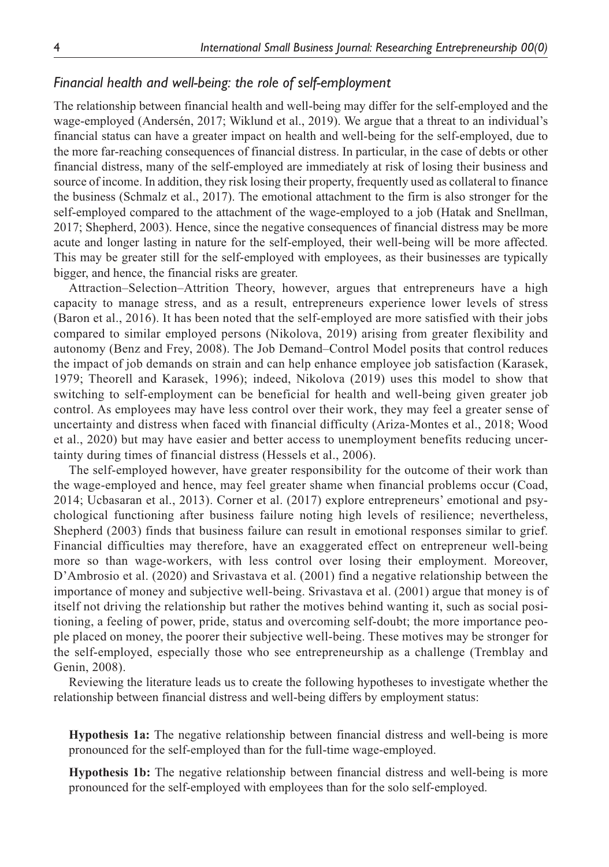### *Financial health and well-being: the role of self-employment*

The relationship between financial health and well-being may differ for the self-employed and the wage-employed (Andersén, 2017; Wiklund et al., 2019). We argue that a threat to an individual's financial status can have a greater impact on health and well-being for the self-employed, due to the more far-reaching consequences of financial distress. In particular, in the case of debts or other financial distress, many of the self-employed are immediately at risk of losing their business and source of income. In addition, they risk losing their property, frequently used as collateral to finance the business (Schmalz et al., 2017). The emotional attachment to the firm is also stronger for the self-employed compared to the attachment of the wage-employed to a job (Hatak and Snellman, 2017; Shepherd, 2003). Hence, since the negative consequences of financial distress may be more acute and longer lasting in nature for the self-employed, their well-being will be more affected. This may be greater still for the self-employed with employees, as their businesses are typically bigger, and hence, the financial risks are greater.

Attraction–Selection–Attrition Theory, however, argues that entrepreneurs have a high capacity to manage stress, and as a result, entrepreneurs experience lower levels of stress (Baron et al., 2016). It has been noted that the self-employed are more satisfied with their jobs compared to similar employed persons (Nikolova, 2019) arising from greater flexibility and autonomy (Benz and Frey, 2008). The Job Demand–Control Model posits that control reduces the impact of job demands on strain and can help enhance employee job satisfaction (Karasek, 1979; Theorell and Karasek, 1996); indeed, Nikolova (2019) uses this model to show that switching to self-employment can be beneficial for health and well-being given greater job control. As employees may have less control over their work, they may feel a greater sense of uncertainty and distress when faced with financial difficulty (Ariza-Montes et al., 2018; Wood et al., 2020) but may have easier and better access to unemployment benefits reducing uncertainty during times of financial distress (Hessels et al., 2006).

The self-employed however, have greater responsibility for the outcome of their work than the wage-employed and hence, may feel greater shame when financial problems occur (Coad, 2014; Ucbasaran et al., 2013). Corner et al. (2017) explore entrepreneurs' emotional and psychological functioning after business failure noting high levels of resilience; nevertheless, Shepherd (2003) finds that business failure can result in emotional responses similar to grief. Financial difficulties may therefore, have an exaggerated effect on entrepreneur well-being more so than wage-workers, with less control over losing their employment. Moreover, D'Ambrosio et al. (2020) and Srivastava et al. (2001) find a negative relationship between the importance of money and subjective well-being. Srivastava et al. (2001) argue that money is of itself not driving the relationship but rather the motives behind wanting it, such as social positioning, a feeling of power, pride, status and overcoming self-doubt; the more importance people placed on money, the poorer their subjective well-being. These motives may be stronger for the self-employed, especially those who see entrepreneurship as a challenge (Tremblay and Genin, 2008).

Reviewing the literature leads us to create the following hypotheses to investigate whether the relationship between financial distress and well-being differs by employment status:

**Hypothesis 1a:** The negative relationship between financial distress and well-being is more pronounced for the self-employed than for the full-time wage-employed.

**Hypothesis 1b:** The negative relationship between financial distress and well-being is more pronounced for the self-employed with employees than for the solo self-employed.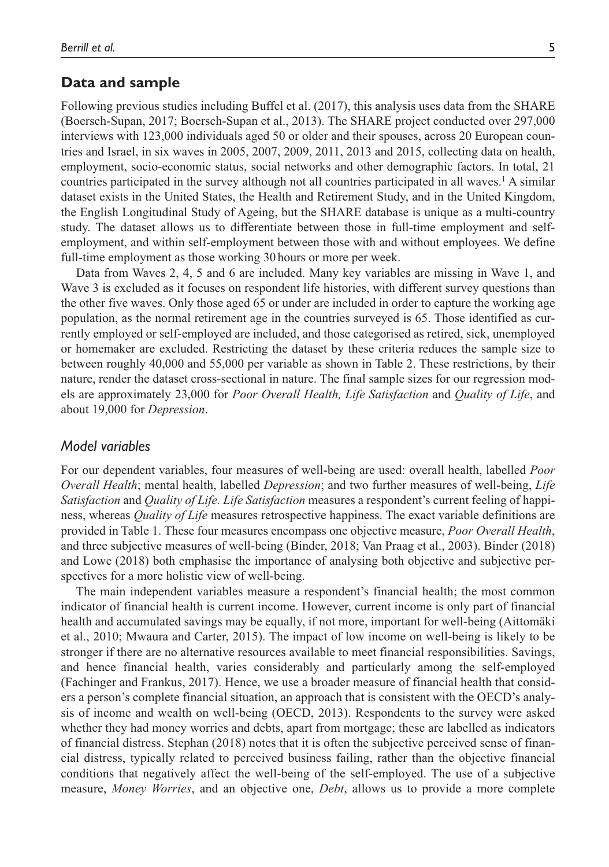#### **Data and sample**

Following previous studies including Buffel et al. (2017), this analysis uses data from the SHARE (Boersch-Supan, 2017; Boersch-Supan et al., 2013). The SHARE project conducted over 297,000 interviews with 123,000 individuals aged 50 or older and their spouses, across 20 European countries and Israel, in six waves in 2005, 2007, 2009, 2011, 2013 and 2015, collecting data on health, employment, socio-economic status, social networks and other demographic factors. In total, 21 countries participated in the survey although not all countries participated in all waves.1 A similar dataset exists in the United States, the Health and Retirement Study, and in the United Kingdom, the English Longitudinal Study of Ageing, but the SHARE database is unique as a multi-country study. The dataset allows us to differentiate between those in full-time employment and selfemployment, and within self-employment between those with and without employees. We define full-time employment as those working 30hours or more per week.

Data from Waves 2, 4, 5 and 6 are included. Many key variables are missing in Wave 1, and Wave 3 is excluded as it focuses on respondent life histories, with different survey questions than the other five waves. Only those aged 65 or under are included in order to capture the working age population, as the normal retirement age in the countries surveyed is 65. Those identified as currently employed or self-employed are included, and those categorised as retired, sick, unemployed or homemaker are excluded. Restricting the dataset by these criteria reduces the sample size to between roughly 40,000 and 55,000 per variable as shown in Table 2. These restrictions, by their nature, render the dataset cross-sectional in nature. The final sample sizes for our regression models are approximately 23,000 for *Poor Overall Health, Life Satisfaction* and *Quality of Life*, and about 19,000 for *Depression*.

#### *Model variables*

For our dependent variables, four measures of well-being are used: overall health, labelled *Poor Overall Health*; mental health, labelled *Depression*; and two further measures of well-being, *Life Satisfaction* and *Quality of Life. Life Satisfaction* measures a respondent's current feeling of happiness, whereas *Quality of Life* measures retrospective happiness. The exact variable definitions are provided in Table 1. These four measures encompass one objective measure, *Poor Overall Health*, and three subjective measures of well-being (Binder, 2018; Van Praag et al., 2003). Binder (2018) and Lowe (2018) both emphasise the importance of analysing both objective and subjective perspectives for a more holistic view of well-being.

The main independent variables measure a respondent's financial health; the most common indicator of financial health is current income. However, current income is only part of financial health and accumulated savings may be equally, if not more, important for well-being (Aittomäki et al., 2010; Mwaura and Carter, 2015). The impact of low income on well-being is likely to be stronger if there are no alternative resources available to meet financial responsibilities. Savings, and hence financial health, varies considerably and particularly among the self-employed (Fachinger and Frankus, 2017). Hence, we use a broader measure of financial health that considers a person's complete financial situation, an approach that is consistent with the OECD's analysis of income and wealth on well-being (OECD, 2013). Respondents to the survey were asked whether they had money worries and debts, apart from mortgage; these are labelled as indicators of financial distress. Stephan (2018) notes that it is often the subjective perceived sense of financial distress, typically related to perceived business failing, rather than the objective financial conditions that negatively affect the well-being of the self-employed. The use of a subjective measure, *Money Worries*, and an objective one, *Debt*, allows us to provide a more complete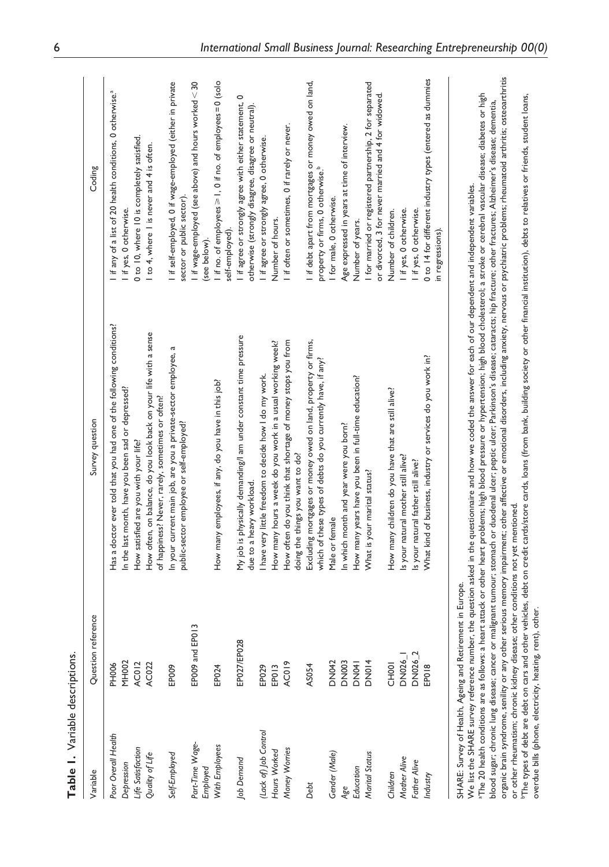| Table 1. Variable descriptions.              |                                                                                |                                                                                                                                                                                                                                                                                                                                                                                                                                                                                                                                                                                                                                                                                                                                                        |                                                                                                                 |
|----------------------------------------------|--------------------------------------------------------------------------------|--------------------------------------------------------------------------------------------------------------------------------------------------------------------------------------------------------------------------------------------------------------------------------------------------------------------------------------------------------------------------------------------------------------------------------------------------------------------------------------------------------------------------------------------------------------------------------------------------------------------------------------------------------------------------------------------------------------------------------------------------------|-----------------------------------------------------------------------------------------------------------------|
| Variable                                     | Question reference                                                             | Survey question                                                                                                                                                                                                                                                                                                                                                                                                                                                                                                                                                                                                                                                                                                                                        | Coding                                                                                                          |
| Poor Overall Health                          | <b>PH006</b>                                                                   | Has a doctor ever told that you had one of the following conditions?                                                                                                                                                                                                                                                                                                                                                                                                                                                                                                                                                                                                                                                                                   | if any of a list of 20 health conditions, 0 otherwise. <sup>3</sup>                                             |
| Depression                                   | <b>MH002</b>                                                                   | In the last month, have you been sad or depressed?                                                                                                                                                                                                                                                                                                                                                                                                                                                                                                                                                                                                                                                                                                     | I if yes, 0 otherwise.                                                                                          |
| Life Satisfaction                            | <b>AC012</b>                                                                   | How satisfied are you with your life?                                                                                                                                                                                                                                                                                                                                                                                                                                                                                                                                                                                                                                                                                                                  | 0 to 10, where 10 is completely satisfied.                                                                      |
| Quality of Life                              | AC022                                                                          | How often, on balance, do you look back on your life with a sense<br>of happiness? Never, rarely, sometimes or often?                                                                                                                                                                                                                                                                                                                                                                                                                                                                                                                                                                                                                                  | to 4, where I is never and 4 is often.                                                                          |
| Self-Employed                                | EP009                                                                          | In your current main job, are you a private-sector employee, a<br>public-sector employee or self-employed?                                                                                                                                                                                                                                                                                                                                                                                                                                                                                                                                                                                                                                             | I if self-employed, 0 if wage-employed (either in private<br>sector or public sector)                           |
| Part-Time Wage-<br>Employed                  | EP009 and EP013                                                                |                                                                                                                                                                                                                                                                                                                                                                                                                                                                                                                                                                                                                                                                                                                                                        | I if wage-employed (see above) and hours worked $<$ 30<br>(see below).                                          |
| With Employees                               | EP024                                                                          | How many employees, if any, do you have in this job?                                                                                                                                                                                                                                                                                                                                                                                                                                                                                                                                                                                                                                                                                                   | I if no. of employees $\geq 1$ , 0 if no. of employees = 0 (solo<br>self-employed).                             |
| Job Demand                                   | EP027/EP028                                                                    | My job is physically demanding/I am under constant time pressure<br>due to a heavy workload.                                                                                                                                                                                                                                                                                                                                                                                                                                                                                                                                                                                                                                                           | I if agree or strongly agree with either statement, 0<br>otherwise (strongly disagree, disagree or neutral).    |
| (Lack of) Job Control                        | EP029                                                                          | have very little freedom to decide how I do my work.                                                                                                                                                                                                                                                                                                                                                                                                                                                                                                                                                                                                                                                                                                   | I if agree or strongly agree, 0 otherwise.                                                                      |
| Hours Worked                                 | EP013                                                                          | How many hours a week do you work in a usual working week?                                                                                                                                                                                                                                                                                                                                                                                                                                                                                                                                                                                                                                                                                             | Number of hours.                                                                                                |
| Money Worries                                | AC019                                                                          | How often do you think that shortage of money stops you from<br>doing the things you want to do?                                                                                                                                                                                                                                                                                                                                                                                                                                                                                                                                                                                                                                                       | I if often or sometimes, 0 if rarely or never.                                                                  |
| Debt                                         | AS054                                                                          | Excluding mortgages or money owed on land, property or firms,<br>which of these types of debts do you currently have, if any?                                                                                                                                                                                                                                                                                                                                                                                                                                                                                                                                                                                                                          | I if debt apart from mortgages or money owed on land,<br>property or firms, 0 otherwise. <sup>b</sup>           |
| Gender (Male)                                | <b>DN042</b>                                                                   | Male or female                                                                                                                                                                                                                                                                                                                                                                                                                                                                                                                                                                                                                                                                                                                                         | I for male, 0 otherwise.                                                                                        |
| Age                                          | <b>DN003</b>                                                                   | In which month and year were you born?                                                                                                                                                                                                                                                                                                                                                                                                                                                                                                                                                                                                                                                                                                                 | Age expressed in years at time of interview.                                                                    |
| Education                                    | <b>DN041</b>                                                                   | How many years have you been in full-time education?                                                                                                                                                                                                                                                                                                                                                                                                                                                                                                                                                                                                                                                                                                   | Number of years.                                                                                                |
| Marital Status                               | <b>DN014</b>                                                                   | What is your marital status?                                                                                                                                                                                                                                                                                                                                                                                                                                                                                                                                                                                                                                                                                                                           | I for married or registered partnership, 2 for separated<br>or divorced, 3 for never married and 4 for widowed. |
| Children                                     | <b>CH001</b>                                                                   | How many children do you have that are still alive?                                                                                                                                                                                                                                                                                                                                                                                                                                                                                                                                                                                                                                                                                                    | Number of children.                                                                                             |
| Mother Alive                                 | <b>DN026_I</b>                                                                 | Is your natural mother still alive?                                                                                                                                                                                                                                                                                                                                                                                                                                                                                                                                                                                                                                                                                                                    | I if yes, 0 otherwise.                                                                                          |
| Father Alive                                 | DN026_2                                                                        | Is your natural father still alive?                                                                                                                                                                                                                                                                                                                                                                                                                                                                                                                                                                                                                                                                                                                    | I if yes, 0 otherwise.                                                                                          |
| Industry                                     | EP018                                                                          | What kind of business, industry or services do you work in?                                                                                                                                                                                                                                                                                                                                                                                                                                                                                                                                                                                                                                                                                            | 0 to 14 for different industry types (entered as dummies<br>in regressions).                                    |
| blood sugar; chronic lung disease; cancer or | SHARE: Survey of Health, Ageing and Retirement in Europe.<br>معنك بمعادنا منعم | organic brain syndrome, senility or any other serious memory impairment; other affective or emotional disorders, including anxiety, nervous or psychiatric problems; rheumatoid arthritis; osteoarthritis<br>"The 20 health conditions are as follows: a heart attack or other heart problems; high blood pressure or hypertension; high blood cholesterol; a stroke or cerebral vascular disease; diabetes or high<br>malignant tumour; stomach or duodenal ulcer; peptic ulcer; Parkinson's disease; cataracts; hip fracture; other fractures; Alzheimer's disease; dementia,<br>We list the SHARE survey reference number, the question asked in the questionnaire and how we coded the answer for each of our dependent and independent variables. |                                                                                                                 |

or other rheumatism; chronic kidney disease; other conditions not yet mentioned.<br>"The types of debt are debt on cars and other vehicles, debt on credit cards/store cards, loans (from bank, building society or other financi bThe types of debt are debt on cars and other vehicles, debt on credit cards/store cards, loans (from bank, building society or other financial institution), debts to relatives or friends, student loans, or other rheumatism; chronic kidney disease; other conditions not yet mentioned. overdue bills (phone, electricity, heating, rent), other. overdue bills (phone, electricity, heating, rent), other.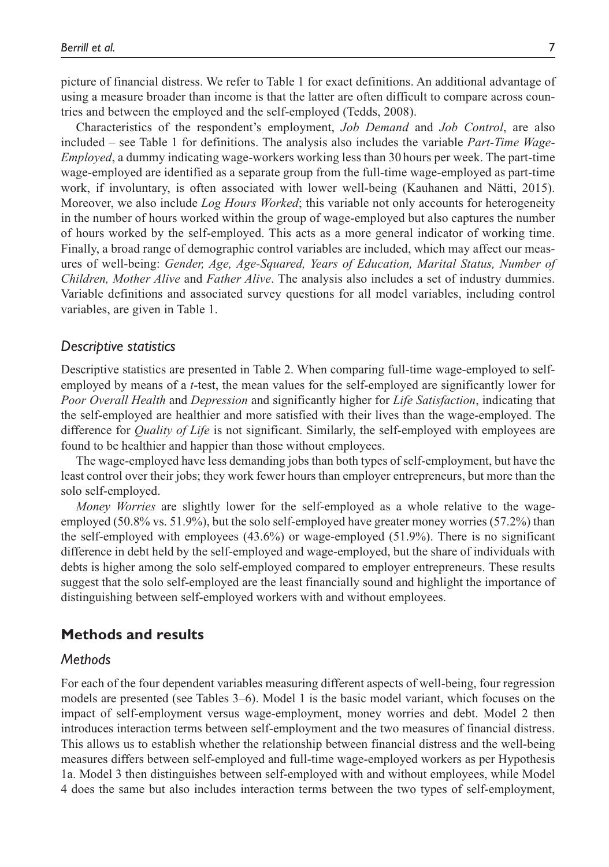picture of financial distress. We refer to Table 1 for exact definitions. An additional advantage of using a measure broader than income is that the latter are often difficult to compare across countries and between the employed and the self-employed (Tedds, 2008).

Characteristics of the respondent's employment, *Job Demand* and *Job Control*, are also included – see Table 1 for definitions. The analysis also includes the variable *Part-Time Wage-Employed*, a dummy indicating wage-workers working less than 30 hours per week. The part-time wage-employed are identified as a separate group from the full-time wage-employed as part-time work, if involuntary, is often associated with lower well-being (Kauhanen and Nätti, 2015). Moreover, we also include *Log Hours Worked*; this variable not only accounts for heterogeneity in the number of hours worked within the group of wage-employed but also captures the number of hours worked by the self-employed. This acts as a more general indicator of working time. Finally, a broad range of demographic control variables are included, which may affect our measures of well-being: *Gender, Age, Age-Squared, Years of Education, Marital Status, Number of Children, Mother Alive* and *Father Alive*. The analysis also includes a set of industry dummies. Variable definitions and associated survey questions for all model variables, including control variables, are given in Table 1.

#### *Descriptive statistics*

Descriptive statistics are presented in Table 2. When comparing full-time wage-employed to selfemployed by means of a *t*-test, the mean values for the self-employed are significantly lower for *Poor Overall Health* and *Depression* and significantly higher for *Life Satisfaction*, indicating that the self-employed are healthier and more satisfied with their lives than the wage-employed. The difference for *Quality of Life* is not significant. Similarly, the self-employed with employees are found to be healthier and happier than those without employees.

The wage-employed have less demanding jobs than both types of self-employment, but have the least control over their jobs; they work fewer hours than employer entrepreneurs, but more than the solo self-employed.

*Money Worries* are slightly lower for the self-employed as a whole relative to the wageemployed (50.8% vs. 51.9%), but the solo self-employed have greater money worries (57.2%) than the self-employed with employees (43.6%) or wage-employed (51.9%). There is no significant difference in debt held by the self-employed and wage-employed, but the share of individuals with debts is higher among the solo self-employed compared to employer entrepreneurs. These results suggest that the solo self-employed are the least financially sound and highlight the importance of distinguishing between self-employed workers with and without employees.

#### **Methods and results**

#### *Methods*

For each of the four dependent variables measuring different aspects of well-being, four regression models are presented (see Tables 3–6). Model 1 is the basic model variant, which focuses on the impact of self-employment versus wage-employment, money worries and debt. Model 2 then introduces interaction terms between self-employment and the two measures of financial distress. This allows us to establish whether the relationship between financial distress and the well-being measures differs between self-employed and full-time wage-employed workers as per Hypothesis 1a. Model 3 then distinguishes between self-employed with and without employees, while Model 4 does the same but also includes interaction terms between the two types of self-employment,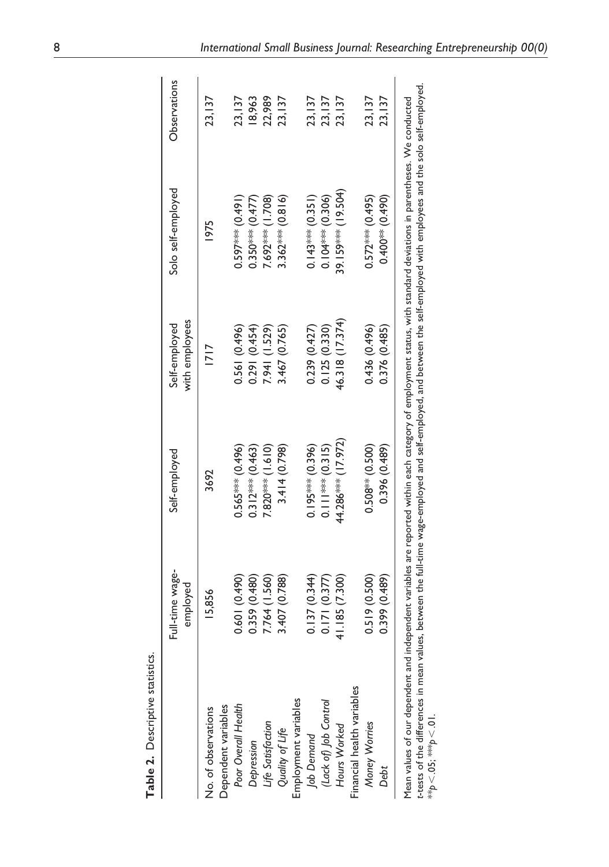|                                            | Full-time wage-<br>employed | Self-employed                   | with employees<br>Self-employed | Solo self-employed   | Observations |
|--------------------------------------------|-----------------------------|---------------------------------|---------------------------------|----------------------|--------------|
| Dependent variables<br>No. of observations | 15.856                      | 3692                            | 1717                            | 1975                 | 23,137       |
| Poor Overall Health                        | 0.601 (0.490)               | $0.565***$ $(0.496)$            | 0.561 (0.496)                   | $0.597***$ (0.491)   | 23,137       |
| Depression                                 | 0.359 (0.480)               | $0.312***$ (0.463)              | 0.291 (0.454)                   | $0.350***$ $(0.477)$ | 18,963       |
| Life Satisfaction                          | 7.764 (1.560)               | $7.820***$ (1.610)              | 7.941 (1.529)                   | 7.692*** (1.708)     | 22,989       |
| Quality of Life                            | 3.407 (0.788)               | 3.414(0.798)                    | 3.467 (0.765)                   | $3.362***$ (0.816)   | 23,137       |
| Employment variables                       |                             |                                 |                                 |                      |              |
| Job Demand                                 | 0.137(0.344)                | $0.195*** (0.396)$              | 0.239(0.427)                    | $0.143*** (0.351)$   | 23, 137      |
| (Lack of) Job Control                      | 0.171(0.377)                | $0.11$ <sup>***</sup> $(0.315)$ | 0.125(0.330)                    | $0.104***$ (0.306)   | 23,137       |
| Hours Worked                               | 41.185 (7.300)              | 44.286**** (17.972)             | 46.318 (17.374)                 | 39.159**** (19.504)  | 23,137       |
| Financial health variables                 |                             |                                 |                                 |                      |              |
| Money Worries                              | 0.519(0.500)                | $0.508***$ (0.500)              | 0.436 (0.496)                   | $0.572***$ (0.495)   | 23,137       |
| Debt                                       | 0.399(0.489)                | 0.396 (0.489)                   | 0.376 (0.485)                   | $0.400**$ (0.490)    | 23,137       |

| ducted                                   | 1<br>i<br>$rac{1}{2}$<br>j                         |  |
|------------------------------------------|----------------------------------------------------|--|
|                                          | $t$ -em                                            |  |
|                                          | d the solo sel                                     |  |
|                                          |                                                    |  |
|                                          | lovees and                                         |  |
| d deviations in parentheses. We conc     |                                                    |  |
|                                          |                                                    |  |
|                                          | re self-employed with emplo                        |  |
|                                          |                                                    |  |
| int status, with standar                 |                                                    |  |
| i<br>S                                   |                                                    |  |
| ie to<br>J                               |                                                    |  |
| orted within each category c             | e-employed and self-employed, and between the self |  |
|                                          |                                                    |  |
|                                          |                                                    |  |
|                                          |                                                    |  |
| it variables are repo                    | å                                                  |  |
|                                          |                                                    |  |
| ;<br>;                                   | values, between the                                |  |
| j<br>Ó<br>i<br>$\frac{1}{2}$<br>s<br>Sai |                                                    |  |
|                                          | å                                                  |  |
|                                          |                                                    |  |
|                                          |                                                    |  |
| j                                        |                                                    |  |
|                                          |                                                    |  |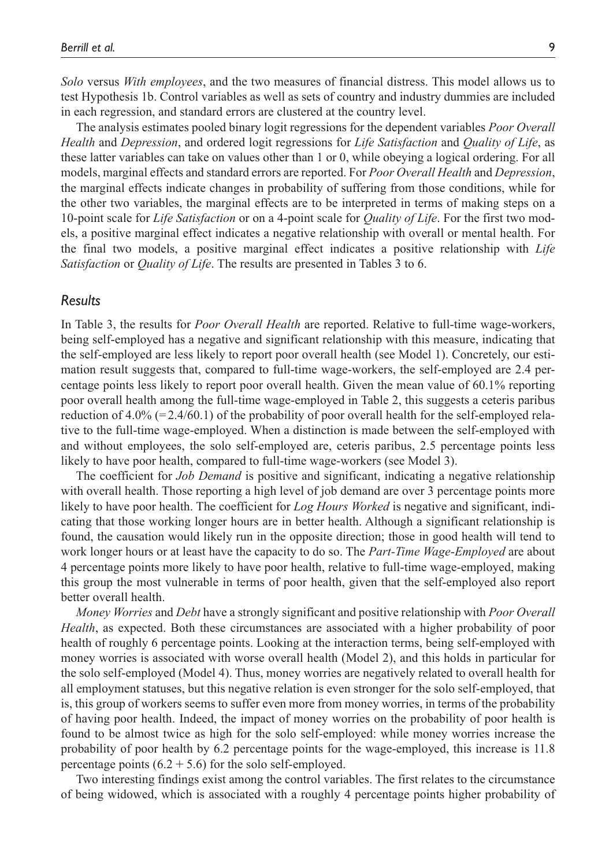*Solo* versus *With employees*, and the two measures of financial distress. This model allows us to test Hypothesis 1b. Control variables as well as sets of country and industry dummies are included in each regression, and standard errors are clustered at the country level.

The analysis estimates pooled binary logit regressions for the dependent variables *Poor Overall Health* and *Depression*, and ordered logit regressions for *Life Satisfaction* and *Quality of Life*, as these latter variables can take on values other than 1 or 0, while obeying a logical ordering. For all models, marginal effects and standard errors are reported. For *Poor Overall Health* and *Depression*, the marginal effects indicate changes in probability of suffering from those conditions, while for the other two variables, the marginal effects are to be interpreted in terms of making steps on a 10-point scale for *Life Satisfaction* or on a 4-point scale for *Quality of Life*. For the first two models, a positive marginal effect indicates a negative relationship with overall or mental health. For the final two models, a positive marginal effect indicates a positive relationship with *Life Satisfaction* or *Quality of Life*. The results are presented in Tables 3 to 6.

#### *Results*

In Table 3, the results for *Poor Overall Health* are reported. Relative to full-time wage-workers, being self-employed has a negative and significant relationship with this measure, indicating that the self-employed are less likely to report poor overall health (see Model 1). Concretely, our estimation result suggests that, compared to full-time wage-workers, the self-employed are 2.4 percentage points less likely to report poor overall health. Given the mean value of 60.1% reporting poor overall health among the full-time wage-employed in Table 2, this suggests a ceteris paribus reduction of  $4.0\%$  (=2.4/60.1) of the probability of poor overall health for the self-employed relative to the full-time wage-employed. When a distinction is made between the self-employed with and without employees, the solo self-employed are, ceteris paribus, 2.5 percentage points less likely to have poor health, compared to full-time wage-workers (see Model 3).

The coefficient for *Job Demand* is positive and significant, indicating a negative relationship with overall health. Those reporting a high level of job demand are over 3 percentage points more likely to have poor health. The coefficient for *Log Hours Worked* is negative and significant, indicating that those working longer hours are in better health. Although a significant relationship is found, the causation would likely run in the opposite direction; those in good health will tend to work longer hours or at least have the capacity to do so. The *Part-Time Wage-Employed* are about 4 percentage points more likely to have poor health, relative to full-time wage-employed, making this group the most vulnerable in terms of poor health, given that the self-employed also report better overall health.

*Money Worries* and *Debt* have a strongly significant and positive relationship with *Poor Overall Health*, as expected. Both these circumstances are associated with a higher probability of poor health of roughly 6 percentage points. Looking at the interaction terms, being self-employed with money worries is associated with worse overall health (Model 2), and this holds in particular for the solo self-employed (Model 4). Thus, money worries are negatively related to overall health for all employment statuses, but this negative relation is even stronger for the solo self-employed, that is, this group of workers seems to suffer even more from money worries, in terms of the probability of having poor health. Indeed, the impact of money worries on the probability of poor health is found to be almost twice as high for the solo self-employed: while money worries increase the probability of poor health by 6.2 percentage points for the wage-employed, this increase is 11.8 percentage points  $(6.2 + 5.6)$  for the solo self-employed.

Two interesting findings exist among the control variables. The first relates to the circumstance of being widowed, which is associated with a roughly 4 percentage points higher probability of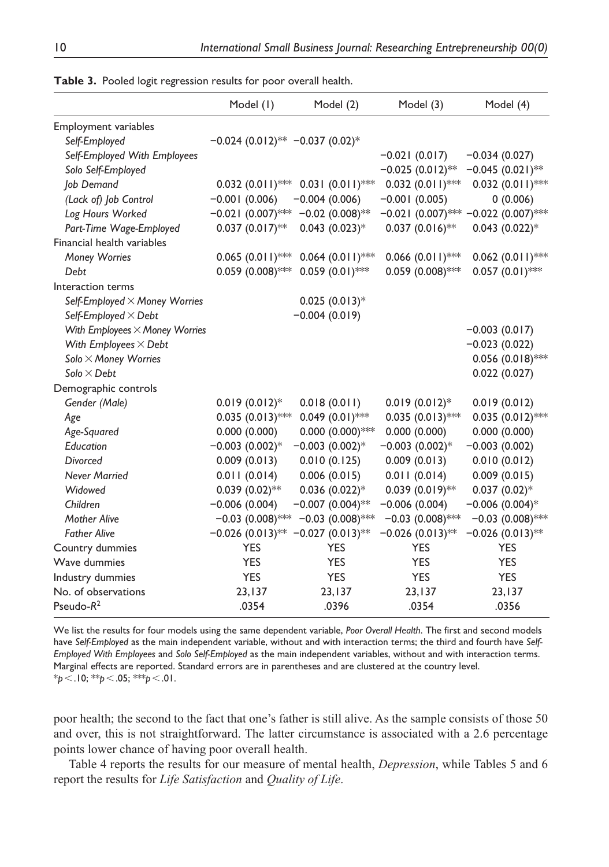|                                       | Model (1)                                                   | Model (2)          | Model (3)             | Model (4)                               |
|---------------------------------------|-------------------------------------------------------------|--------------------|-----------------------|-----------------------------------------|
| Employment variables                  |                                                             |                    |                       |                                         |
| Self-Employed                         | $-0.024$ (0.012) <sup>**</sup> $-0.037$ (0.02) <sup>*</sup> |                    |                       |                                         |
| Self-Employed With Employees          |                                                             |                    | $-0.021(0.017)$       | $-0.034(0.027)$                         |
| Solo Self-Employed                    |                                                             |                    | $-0.025(0.012)$ **    | $-0.045(0.021)$ **                      |
| Job Demand                            | $0.032$ $(0.011)$ ***                                       | $0.031(0.011)$ **  | $0.032(0.011)$ ***    | $0.032(0.011)$ **                       |
| (Lack of) Job Control                 | $-0.001(0.006)$                                             | $-0.004(0.006)$    | $-0.001(0.005)$       | 0(0.006)                                |
| Log Hours Worked                      | $-0.021(0.007)$ **                                          | $-0.02$ (0.008)**  |                       | $-0.021$ (0.007)*** $-0.022$ (0.007)*** |
| Part-Time Wage-Employed               | $0.037(0.017)$ **                                           | $0.043$ (0.023)*   | $0.037(0.016)$ **     | $0.043$ $(0.022)$ *                     |
| Financial health variables            |                                                             |                    |                       |                                         |
| Money Worries                         | $0.065(0.011)$ ***                                          | $0.064(0.011)$ *** | $0.066$ $(0.011)$ *** | $0.062$ (0.011)***                      |
| Debt                                  | $0.059$ (0.008)***                                          | $0.059(0.01)$ ***  | $0.059(0.008)$ ***    | $0.057(0.01)$ ***                       |
| Interaction terms                     |                                                             |                    |                       |                                         |
| Self-Employed $\times$ Money Worries  |                                                             | $0.025(0.013)*$    |                       |                                         |
| Self-Employed $\times$ Debt           |                                                             | $-0.004(0.019)$    |                       |                                         |
| With Employees $\times$ Money Worries |                                                             |                    |                       | $-0.003(0.017)$                         |
| With Employees $\times$ Debt          |                                                             |                    |                       | $-0.023(0.022)$                         |
| Solo × Money Worries                  |                                                             |                    |                       | $0.056$ $(0.018)$ ***                   |
| Solo $\times$ Debt                    |                                                             |                    |                       | 0.022(0.027)                            |
| Demographic controls                  |                                                             |                    |                       |                                         |
| Gender (Male)                         | $0.019(0.012)$ *                                            | 0.018(0.011)       | $0.019(0.012)$ *      | 0.019(0.012)                            |
| Age                                   | $0.035(0.013)$ ***                                          | $0.049(0.01)$ ***  | $0.035(0.013)$ **     | $0.035(0.012)$ **                       |
| Age-Squared                           | 0.000(0.000)                                                | $0.000(0.000)$ *** | 0.000(0.000)          | 0.000(0.000)                            |
| Education                             | $-0.003(0.002)$ *                                           | $-0.003(0.002)$ *  | $-0.003(0.002)*$      | $-0.003(0.002)$                         |
| <b>Divorced</b>                       | 0.009(0.013)                                                | 0.010(0.125)       | 0.009(0.013)          | 0.010(0.012)                            |
| <b>Never Married</b>                  | 0.011(0.014)                                                | 0.006(0.015)       | 0.011(0.014)          | 0.009(0.015)                            |
| Widowed                               | $0.039(0.02)$ **                                            | $0.036(0.022)*$    | $0.039(0.019)$ **     | $0.037(0.02)$ *                         |
| Children                              | $-0.006(0.004)$                                             | $-0.007(0.004)$ ** | $-0.006(0.004)$       | $-0.006(0.004)$ *                       |
| <b>Mother Alive</b>                   | $-0.03$ (0.008)***                                          | $-0.03$ (0.008)*** | $-0.03$ (0.008)***    | $-0.03$ (0.008)***                      |
| <b>Father Alive</b>                   | $-0.026(0.013)$ **                                          | $-0.027(0.013)$ ** | $-0.026$ (0.013)**    | $-0.026$ (0.013)**                      |
| Country dummies                       | <b>YES</b>                                                  | <b>YES</b>         | <b>YES</b>            | <b>YES</b>                              |
| Wave dummies                          | <b>YES</b>                                                  | <b>YES</b>         | <b>YES</b>            | <b>YES</b>                              |
| Industry dummies                      | <b>YES</b>                                                  | <b>YES</b>         | <b>YES</b>            | <b>YES</b>                              |
| No. of observations                   | 23,137                                                      | 23,137             | 23, 137               | 23,137                                  |
| Pseudo- $R^2$                         | .0354                                                       | .0396              | .0354                 | .0356                                   |

**Table 3.** Pooled logit regression results for poor overall health.

We list the results for four models using the same dependent variable, *Poor Overall Health*. The first and second models have *Self-Employed* as the main independent variable, without and with interaction terms; the third and fourth have *Self-Employed With Employees* and *Solo Self-Employed* as the main independent variables, without and with interaction terms. Marginal effects are reported. Standard errors are in parentheses and are clustered at the country level. \**p*<.10; \*\**p*<.05; \*\*\**p*<.01.

poor health; the second to the fact that one's father is still alive. As the sample consists of those 50 and over, this is not straightforward. The latter circumstance is associated with a 2.6 percentage points lower chance of having poor overall health.

Table 4 reports the results for our measure of mental health, *Depression*, while Tables 5 and 6 report the results for *Life Satisfaction* and *Quality of Life*.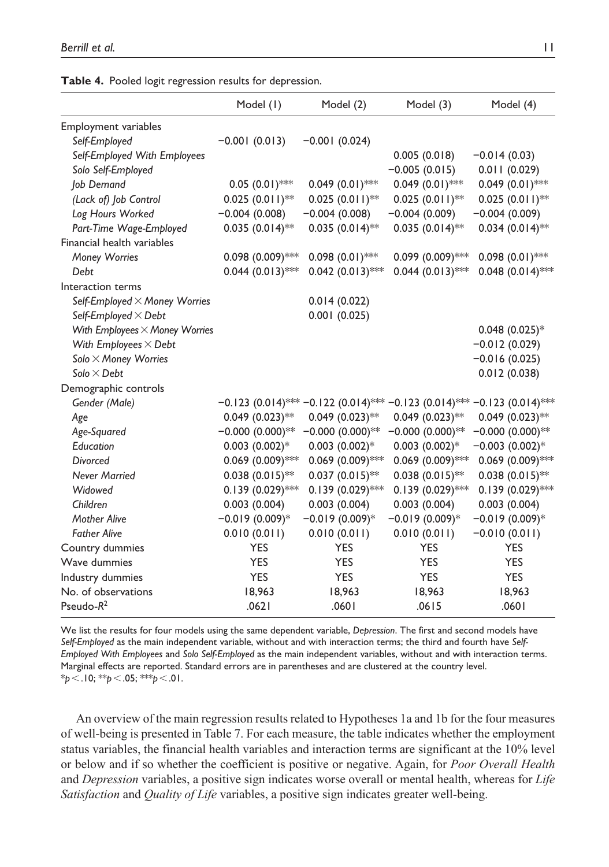|                                       | Model (1)                               | Model (2)                      | Model (3)             | Model (4)                             |
|---------------------------------------|-----------------------------------------|--------------------------------|-----------------------|---------------------------------------|
| Employment variables                  |                                         |                                |                       |                                       |
| Self-Employed                         | $-0.001(0.013)$                         | $-0.001(0.024)$                |                       |                                       |
| Self-Employed With Employees          |                                         |                                | 0.005(0.018)          | $-0.014(0.03)$                        |
| Solo Self-Employed                    |                                         |                                | $-0.005(0.015)$       | 0.011(0.029)                          |
| Job Demand                            | $0.05(0.01)$ **                         | $0.049(0.01)$ ***              | $0.049(0.01)$ ***     | $0.049(0.01)$ **                      |
| (Lack of) Job Control                 | $0.025(0.011)$ **                       | $0.025(0.011)$ **              | $0.025(0.011)$ **     | $0.025(0.011)$ **                     |
| Log Hours Worked                      | $-0.004(0.008)$                         | $-0.004(0.008)$                | $-0.004(0.009)$       | $-0.004(0.009)$                       |
| Part-Time Wage-Employed               | $0.035(0.014)$ **                       | $0.035(0.014)$ **              | $0.035(0.014)$ **     | $0.034(0.014)$ **                     |
| Financial health variables            |                                         |                                |                       |                                       |
| <b>Money Worries</b>                  | $0.098(0.009)$ ***                      | $0.098(0.01)$ ***              | $0.099$ $(0.009)$ *** | $0.098(0.01)$ ***                     |
| Debt                                  | $0.044 (0.013)$ **                      | $0.042$ $(0.013)$ ***          | $0.044 (0.013)$ ***   | $0.048(0.014)$ **                     |
| Interaction terms                     |                                         |                                |                       |                                       |
| Self-Employed $\times$ Money Worries  |                                         | 0.014(0.022)                   |                       |                                       |
| Self-Employed $\times$ Debt           |                                         | 0.001(0.025)                   |                       |                                       |
| With Employees $\times$ Money Worries |                                         |                                |                       | $0.048(0.025)*$                       |
| With Employees $\times$ Debt          |                                         |                                |                       | $-0.012(0.029)$                       |
| Solo × Money Worries                  |                                         |                                |                       | $-0.016(0.025)$                       |
| Solo $\times$ Debt                    |                                         |                                |                       | 0.012(0.038)                          |
| Demographic controls                  |                                         |                                |                       |                                       |
| Gender (Male)                         | $-0.123$ (0.014)*** $-0.122$ (0.014)*** |                                |                       | $-0.123$ (0.014)*** -0.123 (0.014)*** |
| Age                                   | $0.049(0.023)$ **                       | $0.049$ (0.023)**              | $0.049(0.023)$ **     | $0.049(0.023)$ **                     |
| Age-Squared                           | $-0.000(0.000)$ **                      | $-0.000(0.000)$ **             | $-0.000(0.000)$ **    | $-0.000(0.000)$ **                    |
| Education                             | $0.003$ $(0.002)*$                      | $0.003$ $(0.002)$ <sup>*</sup> | $0.003$ $(0.002)*$    | $-0.003(0.002)$ *                     |
| Divorced                              | $0.069$ (0.009)***                      | $0.069$ (0.009)***             | $0.069$ (0.009)***    | $0.069$ (0.009)***                    |
| <b>Never Married</b>                  | $0.038(0.015)$ **                       | $0.037(0.015)$ **              | $0.038(0.015)$ **     | $0.038(0.015)$ **                     |
| Widowed                               | $0.139(0.029)$ ***                      | $0.139(0.029)$ ***             | $0.139(0.029)$ ***    | $0.139(0.029)$ **                     |
| Children                              | 0.003(0.004)                            | 0.003(0.004)                   | 0.003(0.004)          | 0.003(0.004)                          |
| <b>Mother Alive</b>                   | $-0.019(0.009)*$                        | $-0.019(0.009)*$               | $-0.019(0.009)*$      | $-0.019(0.009)*$                      |
| <b>Father Alive</b>                   | (110.010)(0.011)                        | 0.010(0.011)                   | 0.010(0.011)          | $-0.010(0.011)$                       |
| Country dummies                       | <b>YES</b>                              | <b>YES</b>                     | <b>YES</b>            | <b>YES</b>                            |
| Wave dummies                          | <b>YES</b>                              | <b>YES</b>                     | <b>YES</b>            | <b>YES</b>                            |
| Industry dummies                      | <b>YES</b>                              | <b>YES</b>                     | <b>YES</b>            | <b>YES</b>                            |
| No. of observations                   | 18,963                                  | 18,963                         | 18,963                | 18,963                                |
| Pseudo- $R^2$                         | .0621                                   | .0601                          | .0615                 | .0601                                 |

|  | Table 4. Pooled logit regression results for depression. |  |
|--|----------------------------------------------------------|--|
|  |                                                          |  |

We list the results for four models using the same dependent variable, *Depression*. The first and second models have *Self-Employed* as the main independent variable, without and with interaction terms; the third and fourth have *Self-Employed With Employees* and *Solo Self-Employed* as the main independent variables, without and with interaction terms. Marginal effects are reported. Standard errors are in parentheses and are clustered at the country level. \**p*<.10; \*\**p*<.05; \*\*\**p*<.01.

An overview of the main regression results related to Hypotheses 1a and 1b for the four measures of well-being is presented in Table 7. For each measure, the table indicates whether the employment status variables, the financial health variables and interaction terms are significant at the 10% level or below and if so whether the coefficient is positive or negative. Again, for *Poor Overall Health* and *Depression* variables, a positive sign indicates worse overall or mental health, whereas for *Life Satisfaction* and *Quality of Life* variables, a positive sign indicates greater well-being.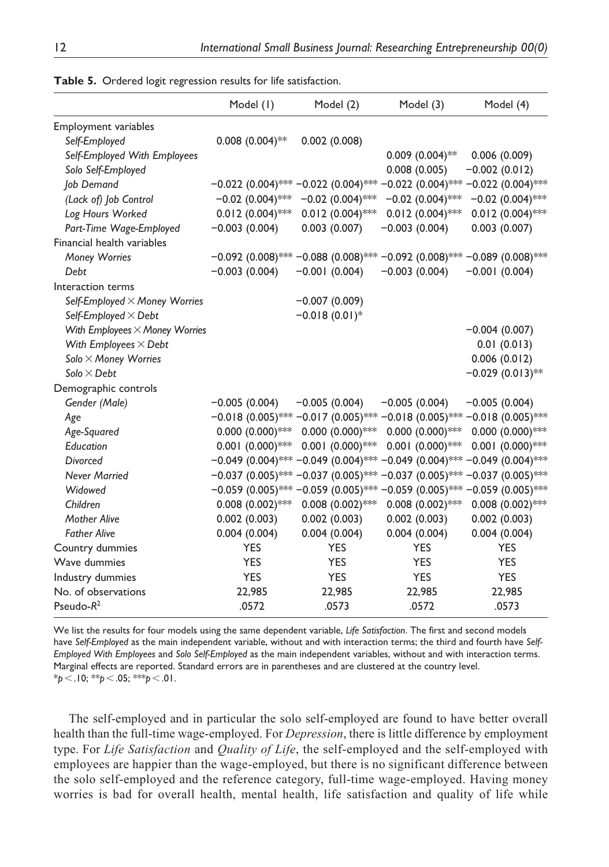|                                       | Model (1)             | Model (2)                               | Model (3)                               | Model (4)             |
|---------------------------------------|-----------------------|-----------------------------------------|-----------------------------------------|-----------------------|
| Employment variables                  |                       |                                         |                                         |                       |
| Self-Employed                         | $0.008$ $(0.004)$ **  | 0.002(0.008)                            |                                         |                       |
| Self-Employed With Employees          |                       |                                         | $0.009$ (0.004)**                       | 0.006(0.009)          |
| Solo Self-Employed                    |                       |                                         | 0.008(0.005)                            | $-0.002(0.012)$       |
| Job Demand                            | $-0.022$ (0.004)***   | $-0.022(0.004)$ **                      | $-0.022(0.004)$ ***                     | $-0.022(0.004)$ ***   |
| (Lack of) Job Control                 | $-0.02$ (0.004)***    | $-0.02$ (0.004)***                      | $-0.02$ (0.004)***                      | $-0.02$ (0.004)***    |
| Log Hours Worked                      | $0.012$ (0.004)***    | $0.012$ (0.004)***                      | $0.012$ (0.004)***                      | $0.012$ (0.004)***    |
| Part-Time Wage-Employed               | $-0.003(0.004)$       | 0.003(0.007)                            | $-0.003(0.004)$                         | 0.003(0.007)          |
| Financial health variables            |                       |                                         |                                         |                       |
| Money Worries                         |                       | $-0.092$ (0.008)*** $-0.088$ (0.008)*** | $-0.092$ (0.008)*** $-0.089$ (0.008)*** |                       |
| Debt                                  | $-0.003(0.004)$       | $-0.001(0.004)$                         | $-0.003(0.004)$                         | $-0.001(0.004)$       |
| Interaction terms                     |                       |                                         |                                         |                       |
| Self-Employed × Money Worries         |                       | $-0.007(0.009)$                         |                                         |                       |
| Self-Employed $\times$ Debt           |                       | $-0.018(0.01)$ *                        |                                         |                       |
| With Employees $\times$ Money Worries |                       |                                         |                                         | $-0.004(0.007)$       |
| With Employees $\times$ Debt          |                       |                                         |                                         | 0.01(0.013)           |
| Solo × Money Worries                  |                       |                                         |                                         | 0.006(0.012)          |
| Solo $\times$ Debt                    |                       |                                         |                                         | $-0.029(0.013)$ **    |
| Demographic controls                  |                       |                                         |                                         |                       |
| Gender (Male)                         | $-0.005(0.004)$       | $-0.005(0.004)$                         | $-0.005(0.004)$                         | $-0.005(0.004)$       |
| Age                                   | $-0.018(0.005)$ ***   | $-0.017(0.005)$ **                      | $-0.018(0.005)$ ***                     | $-0.018(0.005)$ ***   |
| Age-Squared                           | $0.000(0.000)$ ***    | $0.000(0.000)$ ***                      | $0.000(0.000)$ ***                      | $0.000(0.000)$ ***    |
| Education                             | $0.001$ $(0.000)$ *** | $0.001$ $(0.000)$ ***                   | $0.001$ $(0.000)$ ***                   | $0.001$ $(0.000)$ *** |
| Divorced                              | $-0.049(0.004)$ ***   | $-0.049(0.004)$ ***                     | $-0.049(0.004)$ ***                     | $-0.049(0.004)$ ***   |
| <b>Never Married</b>                  | $-0.037(0.005)$ ***   | $-0.037(0.005)$ **                      | $-0.037(0.005)$ **                      | $-0.037(0.005)$ ***   |
| Widowed                               | $-0.059$ (0.005)***   | $-0.059(0.005)$ ***                     | $-0.059(0.005)$ **                      | $-0.059(0.005)$ ***   |
| Children                              | $0.008$ $(0.002)$ *** | $0.008$ $(0.002)$ ***                   | $0.008$ $(0.002)$ ***                   | $0.008$ $(0.002)$ *** |
| <b>Mother Alive</b>                   | 0.002(0.003)          | 0.002(0.003)                            | 0.002(0.003)                            | 0.002(0.003)          |
| <b>Father Alive</b>                   | 0.004(0.004)          | 0.004(0.004)                            | 0.004(0.004)                            | 0.004(0.004)          |
| Country dummies                       | <b>YES</b>            | <b>YES</b>                              | <b>YES</b>                              | <b>YES</b>            |
| Wave dummies                          | <b>YES</b>            | <b>YES</b>                              | <b>YES</b>                              | <b>YES</b>            |
| Industry dummies                      | <b>YES</b>            | <b>YES</b>                              | <b>YES</b>                              | <b>YES</b>            |
| No. of observations                   | 22,985                | 22,985                                  | 22,985                                  | 22,985                |
| Pseudo- $R^2$                         | .0572                 | .0573                                   | .0572                                   | .0573                 |

**Table 5.** Ordered logit regression results for life satisfaction.

We list the results for four models using the same dependent variable, *Life Satisfaction*. The first and second models have *Self-Employed* as the main independent variable, without and with interaction terms; the third and fourth have *Self-Employed With Employees* and *Solo Self-Employed* as the main independent variables, without and with interaction terms. Marginal effects are reported. Standard errors are in parentheses and are clustered at the country level. \**p*<.10; \*\**p*<.05; \*\*\**p*<.01.

The self-employed and in particular the solo self-employed are found to have better overall health than the full-time wage-employed. For *Depression*, there is little difference by employment type. For *Life Satisfaction* and *Quality of Life*, the self-employed and the self-employed with employees are happier than the wage-employed, but there is no significant difference between the solo self-employed and the reference category, full-time wage-employed. Having money worries is bad for overall health, mental health, life satisfaction and quality of life while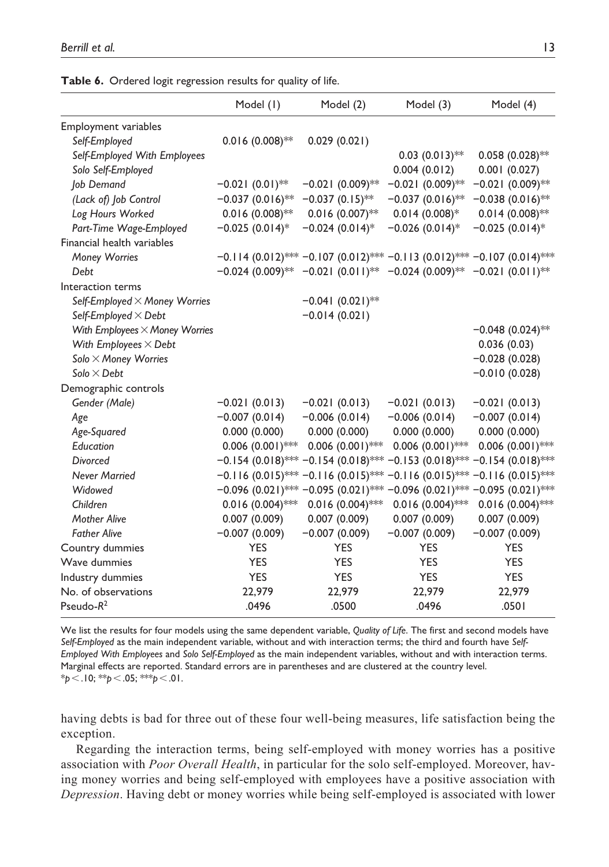|                                       | Model (1)          | Model (2)                                                                                                                   | Model (3)             | Model (4)                               |
|---------------------------------------|--------------------|-----------------------------------------------------------------------------------------------------------------------------|-----------------------|-----------------------------------------|
| Employment variables                  |                    |                                                                                                                             |                       |                                         |
| Self-Employed                         | $0.016(0.008)$ **  | 0.029(0.021)                                                                                                                |                       |                                         |
| Self-Employed With Employees          |                    |                                                                                                                             | $0.03$ $(0.013)$ **   | $0.058(0.028)$ **                       |
| Solo Self-Employed                    |                    |                                                                                                                             | 0.004(0.012)          | 0.001(0.027)                            |
| Job Demand                            | $-0.021(0.01)$ **  | $-0.021(0.009)$ **                                                                                                          | $-0.021(0.009)$ **    | $-0.021(0.009)$ **                      |
| (Lack of) Job Control                 | $-0.037(0.016)$ ** | $-0.037(0.15)$ **                                                                                                           | $-0.037(0.016)$ **    | $-0.038(0.016)$ **                      |
| Log Hours Worked                      | $0.016(0.008)$ **  | $0.016(0.007)$ **                                                                                                           | $0.014(0.008)*$       | $0.014(0.008)$ **                       |
| Part-Time Wage-Employed               | $-0.025(0.014)$ *  | $-0.024(0.014)$ *                                                                                                           | $-0.026(0.014)$ *     | $-0.025(0.014)$ *                       |
| Financial health variables            |                    |                                                                                                                             |                       |                                         |
| Money Worries                         |                    | $-0.114$ (0.012)*** $-0.107$ (0.012)*** $-0.113$ (0.012)*** $-0.107$ (0.014)***                                             |                       |                                         |
| Debt                                  |                    | $-0.024$ (0.009) <sup>**</sup> $-0.021$ (0.011) <sup>**</sup> $-0.024$ (0.009) <sup>**</sup> $-0.021$ (0.011) <sup>**</sup> |                       |                                         |
| Interaction terms                     |                    |                                                                                                                             |                       |                                         |
| Self-Employed × Money Worries         |                    | $-0.041(0.021)$ **                                                                                                          |                       |                                         |
| Self-Employed $\times$ Debt           |                    | $-0.014(0.021)$                                                                                                             |                       |                                         |
| With Employees $\times$ Money Worries |                    |                                                                                                                             |                       | $-0.048(0.024)$ **                      |
| With Employees $\times$ Debt          |                    |                                                                                                                             |                       | 0.036(0.03)                             |
| Solo × Money Worries                  |                    |                                                                                                                             |                       | $-0.028(0.028)$                         |
| $Solo \times Debt$                    |                    |                                                                                                                             |                       | $-0.010(0.028)$                         |
| Demographic controls                  |                    |                                                                                                                             |                       |                                         |
| Gender (Male)                         | $-0.021(0.013)$    | $-0.021(0.013)$                                                                                                             | $-0.021(0.013)$       | $-0.021(0.013)$                         |
| Age                                   | $-0.007(0.014)$    | $-0.006(0.014)$                                                                                                             | $-0.006(0.014)$       | $-0.007(0.014)$                         |
| Age-Squared                           | 0.000(0.000)       | 0.000(0.000)                                                                                                                | 0.000(0.000)          | 0.000(0.000)                            |
| Education                             | $0.006(0.001)$ *** | $0.006(0.001)$ ***                                                                                                          | $0.006$ $(0.001)$ *** | $0.006(0.001)$ ***                      |
| <b>Divorced</b>                       |                    | $-0.154$ (0.018)*** $-0.154$ (0.018)***                                                                                     |                       | $-0.153(0.018)$ *** $-0.154(0.018)$ *** |
| Never Married                         |                    | $-0.116$ (0.015)*** $-0.116$ (0.015)*** $-0.116$ (0.015)*** $-0.116$ (0.015)***                                             |                       |                                         |
| Widowed                               |                    | $-0.096$ (0.021)*** $-0.095$ (0.021)*** $-0.096$ (0.021)*** $-0.095$ (0.021)***                                             |                       |                                         |
| Children                              | $0.016(0.004)$ *** | $0.016$ (0.004)***                                                                                                          | $0.016(0.004)$ ***    | $0.016(0.004)$ ***                      |
| <b>Mother Alive</b>                   | 0.007(0.009)       | 0.007(0.009)                                                                                                                | 0.007(0.009)          | 0.007(0.009)                            |
| <b>Father Alive</b>                   | $-0.007(0.009)$    | $-0.007(0.009)$                                                                                                             | $-0.007(0.009)$       | $-0.007(0.009)$                         |
| Country dummies                       | <b>YES</b>         | <b>YES</b>                                                                                                                  | <b>YES</b>            | <b>YES</b>                              |
| Wave dummies                          | <b>YES</b>         | <b>YES</b>                                                                                                                  | <b>YES</b>            | <b>YES</b>                              |
| Industry dummies                      | <b>YES</b>         | <b>YES</b>                                                                                                                  | <b>YES</b>            | <b>YES</b>                              |
| No. of observations                   | 22,979             | 22,979                                                                                                                      | 22,979                | 22,979                                  |
| Pseudo- $R^2$                         | .0496              | .0500                                                                                                                       | .0496                 | .0501                                   |

**Table 6.** Ordered logit regression results for quality of life.

We list the results for four models using the same dependent variable, *Quality of Life*. The first and second models have *Self-Employed* as the main independent variable, without and with interaction terms; the third and fourth have *Self-Employed With Employees* and *Solo Self-Employed* as the main independent variables, without and with interaction terms. Marginal effects are reported. Standard errors are in parentheses and are clustered at the country level. \**p*<.10; \*\**p*<.05; \*\*\**p*<.01.

having debts is bad for three out of these four well-being measures, life satisfaction being the exception.

Regarding the interaction terms, being self-employed with money worries has a positive association with *Poor Overall Health*, in particular for the solo self-employed. Moreover, having money worries and being self-employed with employees have a positive association with *Depression*. Having debt or money worries while being self-employed is associated with lower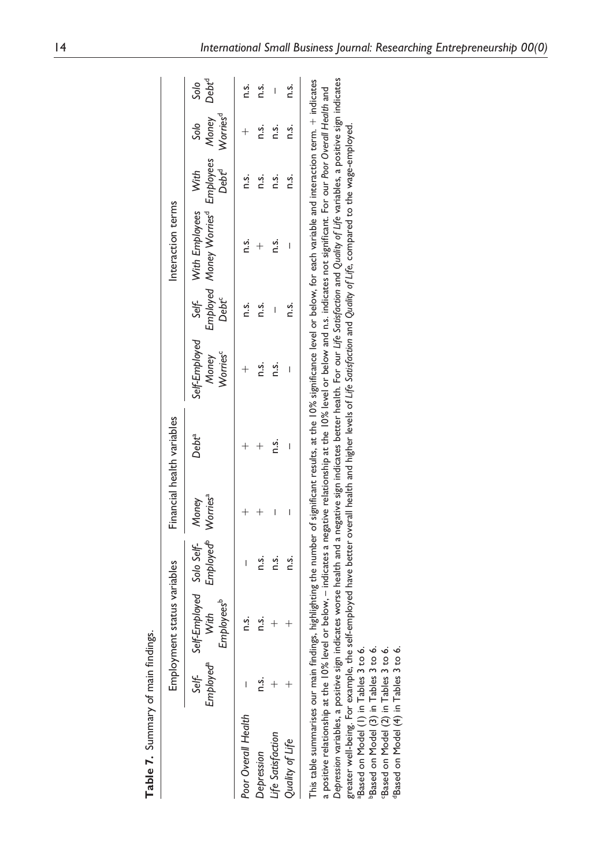| í         |
|-----------|
| ulku      |
| ō         |
| ,<br>m ow |
|           |
|           |

|                                                                                                                                                                                                                                                                                                                                                                                                                                                                                                                                                                                                                                                                                                                                                                                                                                                                                                                           |                       | Employment status variables                                           |                                            |   | Financial health variables |                                                |                            | Interaction terms                                                     |                           |                              |                           |
|---------------------------------------------------------------------------------------------------------------------------------------------------------------------------------------------------------------------------------------------------------------------------------------------------------------------------------------------------------------------------------------------------------------------------------------------------------------------------------------------------------------------------------------------------------------------------------------------------------------------------------------------------------------------------------------------------------------------------------------------------------------------------------------------------------------------------------------------------------------------------------------------------------------------------|-----------------------|-----------------------------------------------------------------------|--------------------------------------------|---|----------------------------|------------------------------------------------|----------------------------|-----------------------------------------------------------------------|---------------------------|------------------------------|---------------------------|
|                                                                                                                                                                                                                                                                                                                                                                                                                                                                                                                                                                                                                                                                                                                                                                                                                                                                                                                           | Employed <sup>a</sup> | Self- Self-Employed Solo Self-Money<br>Employees <sup>b</sup><br>With | Employed <sup>b</sup> Worries <sup>a</sup> |   | Debt <sup>a</sup>          | Self-Employed<br>Worries <sup>c</sup><br>Money | Self-<br>Debt <sup>c</sup> | Employed Money Worries <sup>d</sup> Employees Money<br>With Employees | Debt <sup>d</sup><br>With | Worries <sup>d</sup><br>Solo | Debt <sup>d</sup><br>Solo |
| Poor Overall Health                                                                                                                                                                                                                                                                                                                                                                                                                                                                                                                                                                                                                                                                                                                                                                                                                                                                                                       |                       | n.s.                                                                  |                                            |   |                            |                                                | n.s.                       | n.s.                                                                  | ς.                        |                              | n.s.                      |
| Depression                                                                                                                                                                                                                                                                                                                                                                                                                                                                                                                                                                                                                                                                                                                                                                                                                                                                                                                | s<br>⊂                | n.s.                                                                  | n.s.                                       |   |                            | n.s.                                           | n.s.                       |                                                                       | n.s.                      | n.s.                         | ς.                        |
| Life Satisfaction                                                                                                                                                                                                                                                                                                                                                                                                                                                                                                                                                                                                                                                                                                                                                                                                                                                                                                         |                       |                                                                       | n.s.                                       | I | n.s.                       | n.s.                                           |                            | n.s.                                                                  | n.s.                      | n.s.                         | I                         |
| Quality of Life                                                                                                                                                                                                                                                                                                                                                                                                                                                                                                                                                                                                                                                                                                                                                                                                                                                                                                           |                       |                                                                       | n.s.                                       |   |                            | I                                              | n.s.                       |                                                                       | n.s.                      | n.s.                         | n.s.                      |
| Depression variables, a positive sign indicates worse health and a negative sign indicates better health. For our Life Satisfaction and Quality of Life variables, a positive sign indicates<br>This table summarises our main findings, highlighting the number of significant results, at the 10% significance level or below, for each variable and interaction term. + indicates<br>a positive relationship at the 10% level or below, – indicates a negative relationship at the 10% level or below and n.s. indicates not significant. For our Poor Overall Health and<br>greater well-being. For example, the self-employed have better overall health and higher levels of Life Sotisfoction and Quality of Life, compared to the wage-employed.<br>Based on Model (3) in Tables 3 to 6.<br>Based on Model (4) in Tables 3 to 6.<br>"Based on Model (1) in Tables 3 to 6.<br>Based on Model (2) in Tables 3 to 6. |                       |                                                                       |                                            |   |                            |                                                |                            |                                                                       |                           |                              |                           |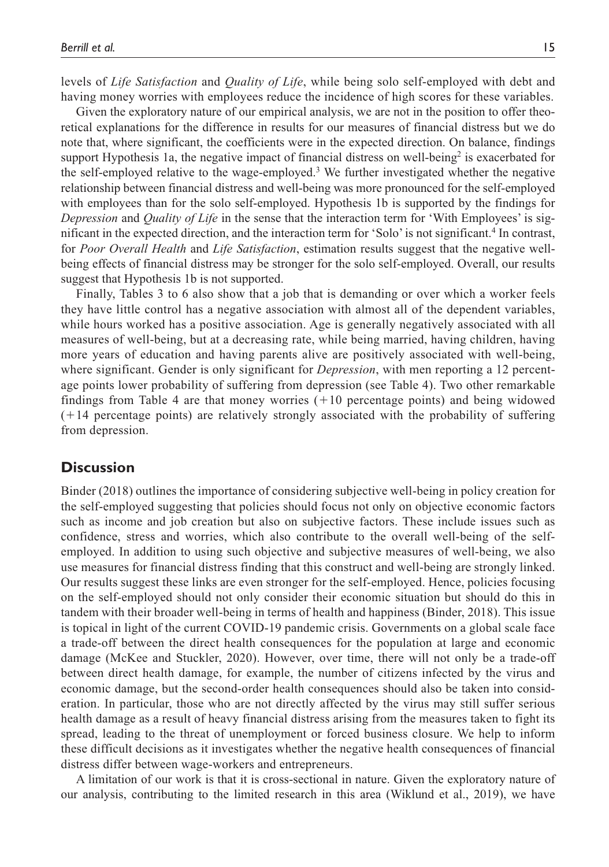levels of *Life Satisfaction* and *Quality of Life*, while being solo self-employed with debt and having money worries with employees reduce the incidence of high scores for these variables.

Given the exploratory nature of our empirical analysis, we are not in the position to offer theoretical explanations for the difference in results for our measures of financial distress but we do note that, where significant, the coefficients were in the expected direction. On balance, findings support Hypothesis 1a, the negative impact of financial distress on well-being<sup>2</sup> is exacerbated for the self-employed relative to the wage-employed.<sup>3</sup> We further investigated whether the negative relationship between financial distress and well-being was more pronounced for the self-employed with employees than for the solo self-employed. Hypothesis 1b is supported by the findings for *Depression* and *Quality of Life* in the sense that the interaction term for 'With Employees' is significant in the expected direction, and the interaction term for 'Solo' is not significant.<sup>4</sup> In contrast, for *Poor Overall Health* and *Life Satisfaction*, estimation results suggest that the negative wellbeing effects of financial distress may be stronger for the solo self-employed. Overall, our results suggest that Hypothesis 1b is not supported.

Finally, Tables 3 to 6 also show that a job that is demanding or over which a worker feels they have little control has a negative association with almost all of the dependent variables, while hours worked has a positive association. Age is generally negatively associated with all measures of well-being, but at a decreasing rate, while being married, having children, having more years of education and having parents alive are positively associated with well-being, where significant. Gender is only significant for *Depression*, with men reporting a 12 percentage points lower probability of suffering from depression (see Table 4). Two other remarkable findings from Table 4 are that money worries (+10 percentage points) and being widowed (+14 percentage points) are relatively strongly associated with the probability of suffering from depression.

#### **Discussion**

Binder (2018) outlines the importance of considering subjective well-being in policy creation for the self-employed suggesting that policies should focus not only on objective economic factors such as income and job creation but also on subjective factors. These include issues such as confidence, stress and worries, which also contribute to the overall well-being of the selfemployed. In addition to using such objective and subjective measures of well-being, we also use measures for financial distress finding that this construct and well-being are strongly linked. Our results suggest these links are even stronger for the self-employed. Hence, policies focusing on the self-employed should not only consider their economic situation but should do this in tandem with their broader well-being in terms of health and happiness (Binder, 2018). This issue is topical in light of the current COVID-19 pandemic crisis. Governments on a global scale face a trade-off between the direct health consequences for the population at large and economic damage (McKee and Stuckler, 2020). However, over time, there will not only be a trade-off between direct health damage, for example, the number of citizens infected by the virus and economic damage, but the second-order health consequences should also be taken into consideration. In particular, those who are not directly affected by the virus may still suffer serious health damage as a result of heavy financial distress arising from the measures taken to fight its spread, leading to the threat of unemployment or forced business closure. We help to inform these difficult decisions as it investigates whether the negative health consequences of financial distress differ between wage-workers and entrepreneurs.

A limitation of our work is that it is cross-sectional in nature. Given the exploratory nature of our analysis, contributing to the limited research in this area (Wiklund et al., 2019), we have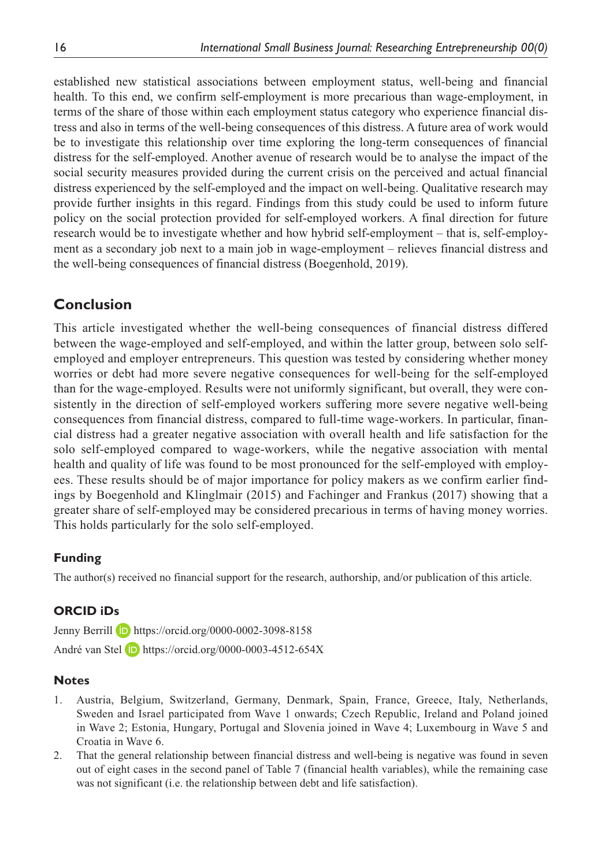established new statistical associations between employment status, well-being and financial health. To this end, we confirm self-employment is more precarious than wage-employment, in terms of the share of those within each employment status category who experience financial distress and also in terms of the well-being consequences of this distress. A future area of work would be to investigate this relationship over time exploring the long-term consequences of financial distress for the self-employed. Another avenue of research would be to analyse the impact of the social security measures provided during the current crisis on the perceived and actual financial distress experienced by the self-employed and the impact on well-being. Qualitative research may provide further insights in this regard. Findings from this study could be used to inform future policy on the social protection provided for self-employed workers. A final direction for future research would be to investigate whether and how hybrid self-employment – that is, self-employment as a secondary job next to a main job in wage-employment – relieves financial distress and the well-being consequences of financial distress (Boegenhold, 2019).

# **Conclusion**

This article investigated whether the well-being consequences of financial distress differed between the wage-employed and self-employed, and within the latter group, between solo selfemployed and employer entrepreneurs. This question was tested by considering whether money worries or debt had more severe negative consequences for well-being for the self-employed than for the wage-employed. Results were not uniformly significant, but overall, they were consistently in the direction of self-employed workers suffering more severe negative well-being consequences from financial distress, compared to full-time wage-workers. In particular, financial distress had a greater negative association with overall health and life satisfaction for the solo self-employed compared to wage-workers, while the negative association with mental health and quality of life was found to be most pronounced for the self-employed with employees. These results should be of major importance for policy makers as we confirm earlier findings by Boegenhold and Klinglmair (2015) and Fachinger and Frankus (2017) showing that a greater share of self-employed may be considered precarious in terms of having money worries. This holds particularly for the solo self-employed.

#### **Funding**

The author(s) received no financial support for the research, authorship, and/or publication of this article.

#### **ORCID iDs**

Jenny Berrill **D** <https://orcid.org/0000-0002-3098-8158> André van Stel **in** <https://orcid.org/0000-0003-4512-654X>

#### **Notes**

- 1. Austria, Belgium, Switzerland, Germany, Denmark, Spain, France, Greece, Italy, Netherlands, Sweden and Israel participated from Wave 1 onwards; Czech Republic, Ireland and Poland joined in Wave 2; Estonia, Hungary, Portugal and Slovenia joined in Wave 4; Luxembourg in Wave 5 and Croatia in Wave 6.
- 2. That the general relationship between financial distress and well-being is negative was found in seven out of eight cases in the second panel of Table 7 (financial health variables), while the remaining case was not significant (i.e. the relationship between debt and life satisfaction).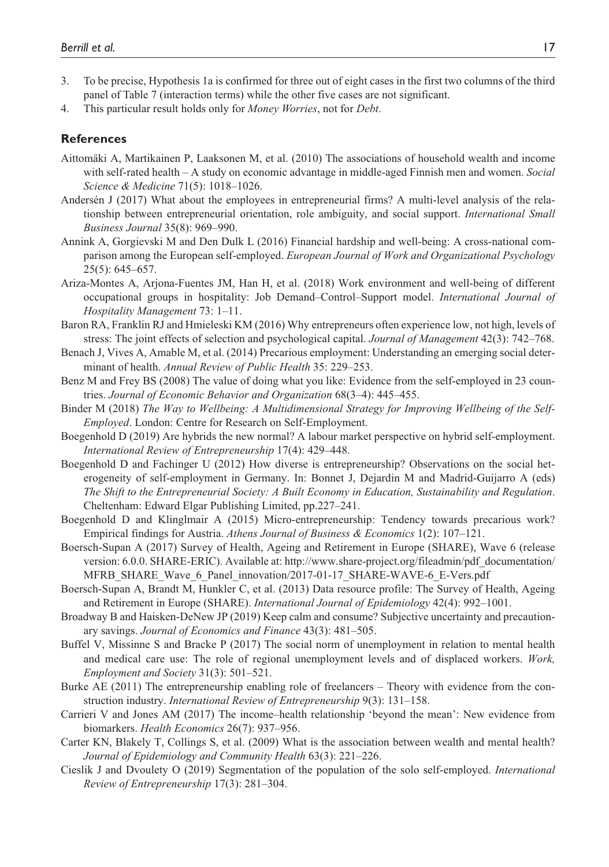- 3. To be precise, Hypothesis 1a is confirmed for three out of eight cases in the first two columns of the third panel of Table 7 (interaction terms) while the other five cases are not significant.
- 4. This particular result holds only for *Money Worries*, not for *Debt*.

## **References**

- Aittomäki A, Martikainen P, Laaksonen M, et al. (2010) The associations of household wealth and income with self-rated health – A study on economic advantage in middle-aged Finnish men and women. *Social Science & Medicine* 71(5): 1018–1026.
- Andersén J (2017) What about the employees in entrepreneurial firms? A multi-level analysis of the relationship between entrepreneurial orientation, role ambiguity, and social support. *International Small Business Journal* 35(8): 969–990.
- Annink A, Gorgievski M and Den Dulk L (2016) Financial hardship and well-being: A cross-national comparison among the European self-employed. *European Journal of Work and Organizational Psychology* 25(5): 645–657.
- Ariza-Montes A, Arjona-Fuentes JM, Han H, et al. (2018) Work environment and well-being of different occupational groups in hospitality: Job Demand–Control–Support model. *International Journal of Hospitality Management* 73: 1–11.
- Baron RA, Franklin RJ and Hmieleski KM (2016) Why entrepreneurs often experience low, not high, levels of stress: The joint effects of selection and psychological capital. *Journal of Management* 42(3): 742–768.
- Benach J, Vives A, Amable M, et al. (2014) Precarious employment: Understanding an emerging social determinant of health. *Annual Review of Public Health* 35: 229–253.
- Benz M and Frey BS (2008) The value of doing what you like: Evidence from the self-employed in 23 countries. *Journal of Economic Behavior and Organization* 68(3–4): 445–455.
- Binder M (2018) *The Way to Wellbeing: A Multidimensional Strategy for Improving Wellbeing of the Self-Employed*. London: Centre for Research on Self-Employment.
- Boegenhold D (2019) Are hybrids the new normal? A labour market perspective on hybrid self-employment. *International Review of Entrepreneurship* 17(4): 429–448.
- Boegenhold D and Fachinger U (2012) How diverse is entrepreneurship? Observations on the social heterogeneity of self-employment in Germany. In: Bonnet J, Dejardin M and Madrid-Guijarro A (eds) *The Shift to the Entrepreneurial Society: A Built Economy in Education, Sustainability and Regulation*. Cheltenham: Edward Elgar Publishing Limited, pp.227–241.
- Boegenhold D and Klinglmair A (2015) Micro-entrepreneurship: Tendency towards precarious work? Empirical findings for Austria. *Athens Journal of Business & Economics* 1(2): 107–121.
- Boersch-Supan A (2017) Survey of Health, Ageing and Retirement in Europe (SHARE), Wave 6 (release version: 6.0.0. SHARE-ERIC). Available at: [http://www.share-project.org/fileadmin/pdf\\_documentation/](http://www.share-project.org/fileadmin/pdf_documentation/MFRB_SHARE_Wave_6_Panel_innovation/2017-01-17_SHARE-WAVE-6_E-Vers.pdf) [MFRB\\_SHARE\\_Wave\\_6\\_Panel\\_innovation/2017-01-17\\_SHARE-WAVE-6\\_E-Vers.pdf](http://www.share-project.org/fileadmin/pdf_documentation/MFRB_SHARE_Wave_6_Panel_innovation/2017-01-17_SHARE-WAVE-6_E-Vers.pdf)
- Boersch-Supan A, Brandt M, Hunkler C, et al. (2013) Data resource profile: The Survey of Health, Ageing and Retirement in Europe (SHARE). *International Journal of Epidemiology* 42(4): 992–1001.
- Broadway B and Haisken-DeNew JP (2019) Keep calm and consume? Subjective uncertainty and precautionary savings. *Journal of Economics and Finance* 43(3): 481–505.
- Buffel V, Missinne S and Bracke P (2017) The social norm of unemployment in relation to mental health and medical care use: The role of regional unemployment levels and of displaced workers. *Work, Employment and Society* 31(3): 501–521.
- Burke AE (2011) The entrepreneurship enabling role of freelancers Theory with evidence from the construction industry. *International Review of Entrepreneurship* 9(3): 131–158.
- Carrieri V and Jones AM (2017) The income–health relationship 'beyond the mean': New evidence from biomarkers. *Health Economics* 26(7): 937–956.
- Carter KN, Blakely T, Collings S, et al. (2009) What is the association between wealth and mental health? *Journal of Epidemiology and Community Health* 63(3): 221–226.
- Cieslik J and Dvoulety O (2019) Segmentation of the population of the solo self-employed. *International Review of Entrepreneurship* 17(3): 281–304.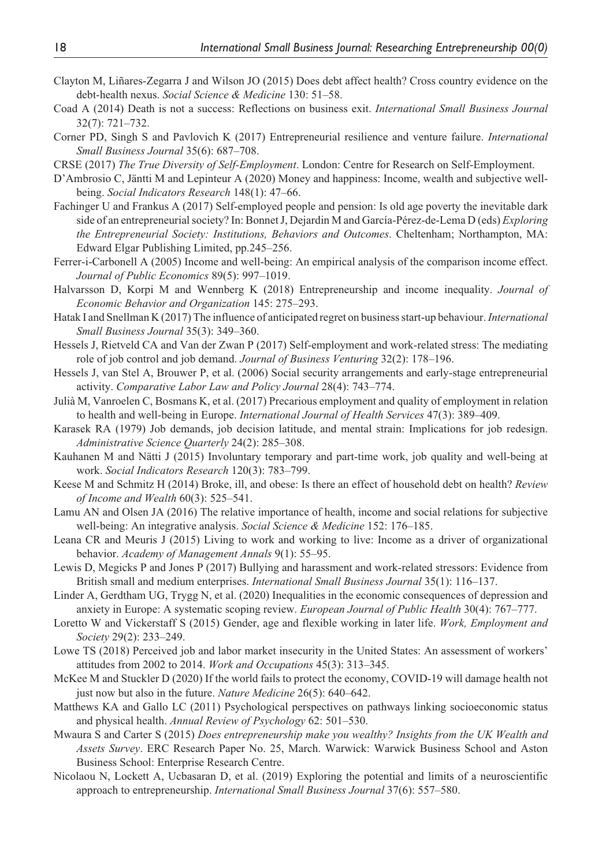- Clayton M, Liñares-Zegarra J and Wilson JO (2015) Does debt affect health? Cross country evidence on the debt-health nexus. *Social Science & Medicine* 130: 51–58.
- Coad A (2014) Death is not a success: Reflections on business exit. *International Small Business Journal* 32(7): 721–732.
- Corner PD, Singh S and Pavlovich K (2017) Entrepreneurial resilience and venture failure. *International Small Business Journal* 35(6): 687–708.

CRSE (2017) *The True Diversity of Self-Employment*. London: Centre for Research on Self-Employment.

- D'Ambrosio C, Jäntti M and Lepinteur A (2020) Money and happiness: Income, wealth and subjective wellbeing. *Social Indicators Research* 148(1): 47–66.
- Fachinger U and Frankus A (2017) Self-employed people and pension: Is old age poverty the inevitable dark side of an entrepreneurial society? In: Bonnet J, Dejardin M and García-Pérez-de-Lema D (eds) *Exploring the Entrepreneurial Society: Institutions, Behaviors and Outcomes*. Cheltenham; Northampton, MA: Edward Elgar Publishing Limited, pp.245–256.
- Ferrer-i-Carbonell A (2005) Income and well-being: An empirical analysis of the comparison income effect. *Journal of Public Economics* 89(5): 997–1019.
- Halvarsson D, Korpi M and Wennberg K (2018) Entrepreneurship and income inequality. *Journal of Economic Behavior and Organization* 145: 275–293.
- Hatak I and Snellman K (2017) The influence of anticipated regret on business start-up behaviour. *International Small Business Journal* 35(3): 349–360.
- Hessels J, Rietveld CA and Van der Zwan P (2017) Self-employment and work-related stress: The mediating role of job control and job demand. *Journal of Business Venturing* 32(2): 178–196.
- Hessels J, van Stel A, Brouwer P, et al. (2006) Social security arrangements and early-stage entrepreneurial activity. *Comparative Labor Law and Policy Journal* 28(4): 743–774.
- Julià M, Vanroelen C, Bosmans K, et al. (2017) Precarious employment and quality of employment in relation to health and well-being in Europe. *International Journal of Health Services* 47(3): 389–409.
- Karasek RA (1979) Job demands, job decision latitude, and mental strain: Implications for job redesign. *Administrative Science Quarterly* 24(2): 285–308.
- Kauhanen M and Nätti J (2015) Involuntary temporary and part-time work, job quality and well-being at work. *Social Indicators Research* 120(3): 783–799.
- Keese M and Schmitz H (2014) Broke, ill, and obese: Is there an effect of household debt on health? *Review of Income and Wealth* 60(3): 525–541.
- Lamu AN and Olsen JA (2016) The relative importance of health, income and social relations for subjective well-being: An integrative analysis. *Social Science & Medicine* 152: 176–185.
- Leana CR and Meuris J (2015) Living to work and working to live: Income as a driver of organizational behavior. *Academy of Management Annals* 9(1): 55–95.
- Lewis D, Megicks P and Jones P (2017) Bullying and harassment and work-related stressors: Evidence from British small and medium enterprises. *International Small Business Journal* 35(1): 116–137.
- Linder A, Gerdtham UG, Trygg N, et al. (2020) Inequalities in the economic consequences of depression and anxiety in Europe: A systematic scoping review. *European Journal of Public Health* 30(4): 767–777.
- Loretto W and Vickerstaff S (2015) Gender, age and flexible working in later life. *Work, Employment and Society* 29(2): 233–249.
- Lowe TS (2018) Perceived job and labor market insecurity in the United States: An assessment of workers' attitudes from 2002 to 2014. *Work and Occupations* 45(3): 313–345.
- McKee M and Stuckler D (2020) If the world fails to protect the economy, COVID-19 will damage health not just now but also in the future. *Nature Medicine* 26(5): 640–642.
- Matthews KA and Gallo LC (2011) Psychological perspectives on pathways linking socioeconomic status and physical health. *Annual Review of Psychology* 62: 501–530.
- Mwaura S and Carter S (2015) *Does entrepreneurship make you wealthy? Insights from the UK Wealth and Assets Survey*. ERC Research Paper No. 25, March. Warwick: Warwick Business School and Aston Business School: Enterprise Research Centre.
- Nicolaou N, Lockett A, Ucbasaran D, et al. (2019) Exploring the potential and limits of a neuroscientific approach to entrepreneurship. *International Small Business Journal* 37(6): 557–580.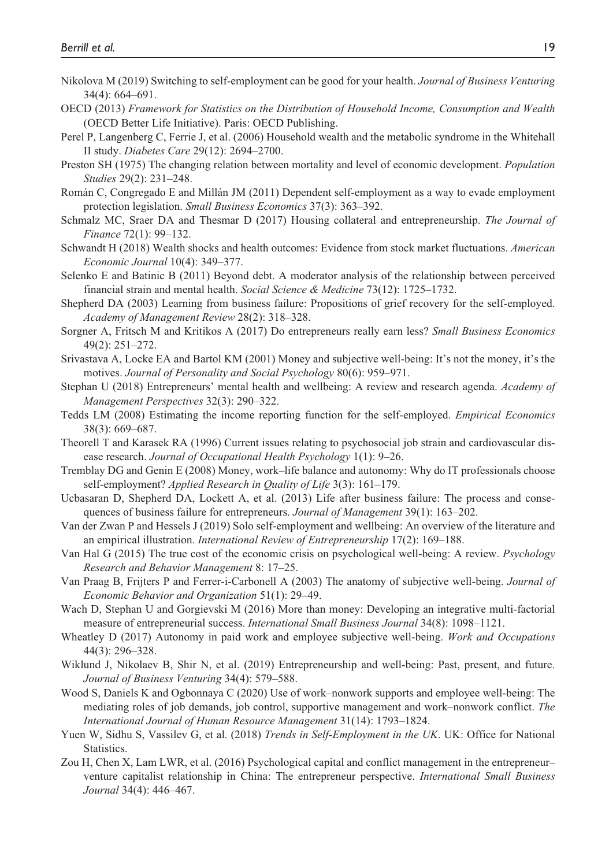- Nikolova M (2019) Switching to self-employment can be good for your health. *Journal of Business Venturing* 34(4): 664–691.
- OECD (2013) *Framework for Statistics on the Distribution of Household Income, Consumption and Wealth* (OECD Better Life Initiative). Paris: OECD Publishing.
- Perel P, Langenberg C, Ferrie J, et al. (2006) Household wealth and the metabolic syndrome in the Whitehall II study. *Diabetes Care* 29(12): 2694–2700.
- Preston SH (1975) The changing relation between mortality and level of economic development. *Population Studies* 29(2): 231–248.
- Román C, Congregado E and Millán JM (2011) Dependent self-employment as a way to evade employment protection legislation. *Small Business Economics* 37(3): 363–392.
- Schmalz MC, Sraer DA and Thesmar D (2017) Housing collateral and entrepreneurship. *The Journal of Finance* 72(1): 99–132.
- Schwandt H (2018) Wealth shocks and health outcomes: Evidence from stock market fluctuations. *American Economic Journal* 10(4): 349–377.
- Selenko E and Batinic B (2011) Beyond debt. A moderator analysis of the relationship between perceived financial strain and mental health. *Social Science & Medicine* 73(12): 1725–1732.
- Shepherd DA (2003) Learning from business failure: Propositions of grief recovery for the self-employed. *Academy of Management Review* 28(2): 318–328.
- Sorgner A, Fritsch M and Kritikos A (2017) Do entrepreneurs really earn less? *Small Business Economics* 49(2): 251–272.
- Srivastava A, Locke EA and Bartol KM (2001) Money and subjective well-being: It's not the money, it's the motives. *Journal of Personality and Social Psychology* 80(6): 959–971.
- Stephan U (2018) Entrepreneurs' mental health and wellbeing: A review and research agenda. *Academy of Management Perspectives* 32(3): 290–322.
- Tedds LM (2008) Estimating the income reporting function for the self-employed. *Empirical Economics* 38(3): 669–687.
- Theorell T and Karasek RA (1996) Current issues relating to psychosocial job strain and cardiovascular disease research. *Journal of Occupational Health Psychology* 1(1): 9–26.
- Tremblay DG and Genin E (2008) Money, work–life balance and autonomy: Why do IT professionals choose self-employment? *Applied Research in Quality of Life* 3(3): 161–179.
- Ucbasaran D, Shepherd DA, Lockett A, et al. (2013) Life after business failure: The process and consequences of business failure for entrepreneurs. *Journal of Management* 39(1): 163–202.
- Van der Zwan P and Hessels J (2019) Solo self-employment and wellbeing: An overview of the literature and an empirical illustration. *International Review of Entrepreneurship* 17(2): 169–188.
- Van Hal G (2015) The true cost of the economic crisis on psychological well-being: A review. *Psychology Research and Behavior Management* 8: 17–25.
- Van Praag B, Frijters P and Ferrer-i-Carbonell A (2003) The anatomy of subjective well-being. *Journal of Economic Behavior and Organization* 51(1): 29–49.
- Wach D, Stephan U and Gorgievski M (2016) More than money: Developing an integrative multi-factorial measure of entrepreneurial success. *International Small Business Journal* 34(8): 1098–1121.
- Wheatley D (2017) Autonomy in paid work and employee subjective well-being. *Work and Occupations* 44(3): 296–328.
- Wiklund J, Nikolaev B, Shir N, et al. (2019) Entrepreneurship and well-being: Past, present, and future. *Journal of Business Venturing* 34(4): 579–588.
- Wood S, Daniels K and Ogbonnaya C (2020) Use of work–nonwork supports and employee well-being: The mediating roles of job demands, job control, supportive management and work–nonwork conflict. *The International Journal of Human Resource Management* 31(14): 1793–1824.
- Yuen W, Sidhu S, Vassilev G, et al. (2018) *Trends in Self-Employment in the UK*. UK: Office for National Statistics.
- Zou H, Chen X, Lam LWR, et al. (2016) Psychological capital and conflict management in the entrepreneur– venture capitalist relationship in China: The entrepreneur perspective. *International Small Business Journal* 34(4): 446–467.